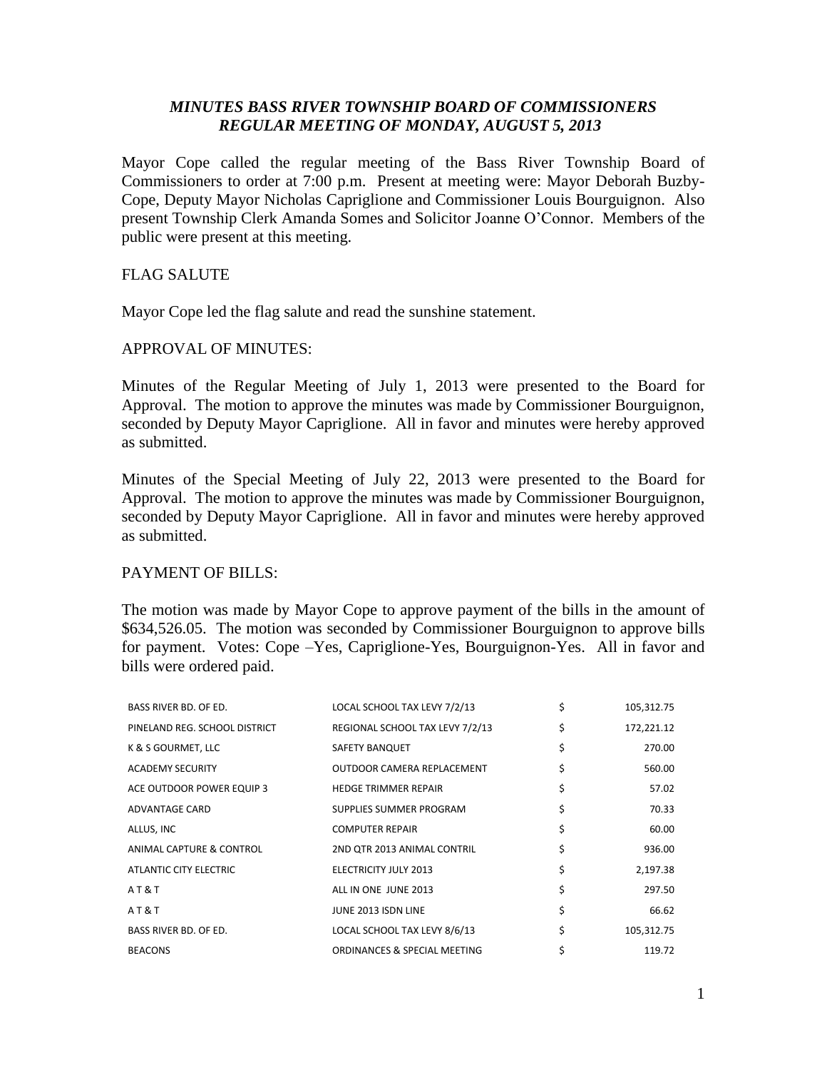# *MINUTES BASS RIVER TOWNSHIP BOARD OF COMMISSIONERS REGULAR MEETING OF MONDAY, AUGUST 5, 2013*

Mayor Cope called the regular meeting of the Bass River Township Board of Commissioners to order at 7:00 p.m. Present at meeting were: Mayor Deborah Buzby-Cope, Deputy Mayor Nicholas Capriglione and Commissioner Louis Bourguignon. Also present Township Clerk Amanda Somes and Solicitor Joanne O'Connor. Members of the public were present at this meeting.

# FLAG SALUTE

Mayor Cope led the flag salute and read the sunshine statement.

### APPROVAL OF MINUTES:

Minutes of the Regular Meeting of July 1, 2013 were presented to the Board for Approval. The motion to approve the minutes was made by Commissioner Bourguignon, seconded by Deputy Mayor Capriglione. All in favor and minutes were hereby approved as submitted.

Minutes of the Special Meeting of July 22, 2013 were presented to the Board for Approval. The motion to approve the minutes was made by Commissioner Bourguignon, seconded by Deputy Mayor Capriglione. All in favor and minutes were hereby approved as submitted.

# PAYMENT OF BILLS:

The motion was made by Mayor Cope to approve payment of the bills in the amount of \$634,526.05. The motion was seconded by Commissioner Bourguignon to approve bills for payment. Votes: Cope –Yes, Capriglione-Yes, Bourguignon-Yes. All in favor and bills were ordered paid.

| <b>BASS RIVER BD. OF ED.</b>  | LOCAL SCHOOL TAX LEVY 7/2/13    | \$<br>105,312.75 |
|-------------------------------|---------------------------------|------------------|
| PINELAND REG. SCHOOL DISTRICT | REGIONAL SCHOOL TAX LEVY 7/2/13 | \$<br>172,221.12 |
| K & S GOURMET, LLC            | <b>SAFETY BANQUET</b>           | \$<br>270.00     |
| <b>ACADEMY SECURITY</b>       | OUTDOOR CAMERA REPLACEMENT      | \$<br>560.00     |
| ACE OUTDOOR POWER EQUIP 3     | <b>HEDGE TRIMMER REPAIR</b>     | \$<br>57.02      |
| ADVANTAGE CARD                | SUPPLIES SUMMER PROGRAM         | \$<br>70.33      |
| ALLUS, INC                    | <b>COMPUTER REPAIR</b>          | \$<br>60.00      |
| ANIMAL CAPTURE & CONTROL      | 2ND QTR 2013 ANIMAL CONTRIL     | \$<br>936.00     |
| ATLANTIC CITY ELECTRIC        | <b>ELECTRICITY JULY 2013</b>    | \$<br>2,197.38   |
| AT&T                          | ALL IN ONE JUNE 2013            | \$<br>297.50     |
| AT&T                          | JUNE 2013 ISDN LINE             | \$<br>66.62      |
| <b>BASS RIVER BD. OF ED.</b>  | LOCAL SCHOOL TAX LEVY 8/6/13    | \$<br>105,312.75 |
| <b>BEACONS</b>                | ORDINANCES & SPECIAL MEETING    | 119.72           |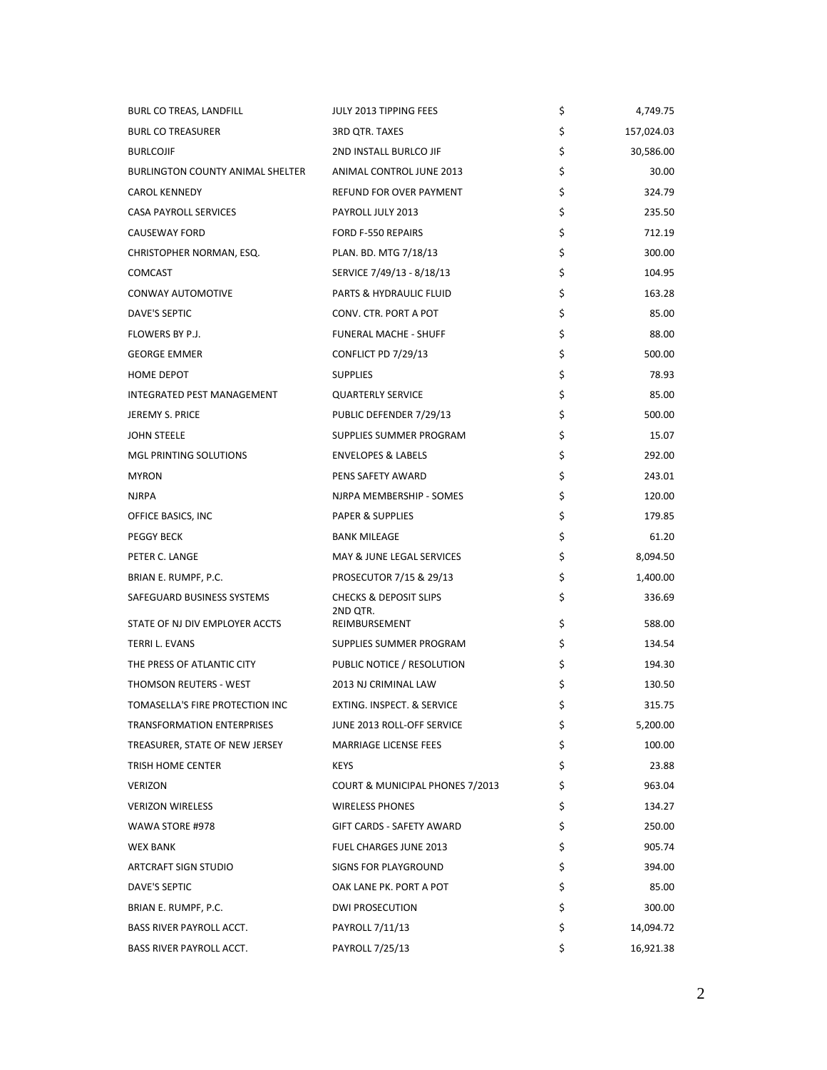| <b>BURL CO TREAS, LANDFILL</b>          | JULY 2013 TIPPING FEES                        | \$<br>4,749.75   |
|-----------------------------------------|-----------------------------------------------|------------------|
| <b>BURL CO TREASURER</b>                | 3RD QTR. TAXES                                | \$<br>157,024.03 |
| <b>BURLCOJIF</b>                        | 2ND INSTALL BURLCO JIF                        | \$<br>30,586.00  |
| <b>BURLINGTON COUNTY ANIMAL SHELTER</b> | ANIMAL CONTROL JUNE 2013                      | \$<br>30.00      |
| <b>CAROL KENNEDY</b>                    | REFUND FOR OVER PAYMENT                       | \$<br>324.79     |
| CASA PAYROLL SERVICES                   | PAYROLL JULY 2013                             | \$<br>235.50     |
| <b>CAUSEWAY FORD</b>                    | FORD F-550 REPAIRS                            | \$<br>712.19     |
| CHRISTOPHER NORMAN, ESQ.                | PLAN. BD. MTG 7/18/13                         | \$<br>300.00     |
| <b>COMCAST</b>                          | SERVICE 7/49/13 - 8/18/13                     | \$<br>104.95     |
| CONWAY AUTOMOTIVE                       | PARTS & HYDRAULIC FLUID                       | \$<br>163.28     |
| DAVE'S SEPTIC                           | CONV. CTR. PORT A POT                         | \$<br>85.00      |
| FLOWERS BY P.J.                         | FUNERAL MACHE - SHUFF                         | \$<br>88.00      |
| <b>GEORGE EMMER</b>                     | CONFLICT PD 7/29/13                           | \$<br>500.00     |
| HOME DEPOT                              | <b>SUPPLIES</b>                               | \$<br>78.93      |
| INTEGRATED PEST MANAGEMENT              | <b>QUARTERLY SERVICE</b>                      | \$<br>85.00      |
| <b>JEREMY S. PRICE</b>                  | PUBLIC DEFENDER 7/29/13                       | \$<br>500.00     |
| <b>JOHN STEELE</b>                      | SUPPLIES SUMMER PROGRAM                       | \$<br>15.07      |
| MGL PRINTING SOLUTIONS                  | <b>ENVELOPES &amp; LABELS</b>                 | \$<br>292.00     |
| <b>MYRON</b>                            | PENS SAFETY AWARD                             | \$<br>243.01     |
| <b>NJRPA</b>                            | NJRPA MEMBERSHIP - SOMES                      | \$<br>120.00     |
| OFFICE BASICS, INC                      | <b>PAPER &amp; SUPPLIES</b>                   | \$<br>179.85     |
| <b>PEGGY BECK</b>                       | <b>BANK MILEAGE</b>                           | \$<br>61.20      |
| PETER C. LANGE                          | MAY & JUNE LEGAL SERVICES                     | \$<br>8,094.50   |
| BRIAN E. RUMPF, P.C.                    | PROSECUTOR 7/15 & 29/13                       | \$<br>1,400.00   |
| SAFEGUARD BUSINESS SYSTEMS              | <b>CHECKS &amp; DEPOSIT SLIPS</b><br>2ND QTR. | \$<br>336.69     |
| STATE OF NJ DIV EMPLOYER ACCTS          | REIMBURSEMENT                                 | \$<br>588.00     |
| TERRI L. EVANS                          | SUPPLIES SUMMER PROGRAM                       | \$<br>134.54     |
| THE PRESS OF ATLANTIC CITY              | PUBLIC NOTICE / RESOLUTION                    | \$<br>194.30     |
| THOMSON REUTERS - WEST                  | 2013 NJ CRIMINAL LAW                          | \$<br>130.50     |
| TOMASELLA'S FIRE PROTECTION INC         | EXTING. INSPECT. & SERVICE                    | \$<br>315.75     |
| TRANSFORMATION ENTERPRISES              | JUNE 2013 ROLL-OFF SERVICE                    | \$<br>5,200.00   |
| TREASURER, STATE OF NEW JERSEY          | <b>MARRIAGE LICENSE FEES</b>                  | \$<br>100.00     |
| TRISH HOME CENTER                       | <b>KEYS</b>                                   | \$<br>23.88      |
| <b>VERIZON</b>                          | COURT & MUNICIPAL PHONES 7/2013               | \$<br>963.04     |
| <b>VERIZON WIRELESS</b>                 | WIRELESS PHONES                               | \$<br>134.27     |
| WAWA STORE #978                         | GIFT CARDS - SAFETY AWARD                     | \$<br>250.00     |
| <b>WEX BANK</b>                         | FUEL CHARGES JUNE 2013                        | \$<br>905.74     |
| <b>ARTCRAFT SIGN STUDIO</b>             | <b>SIGNS FOR PLAYGROUND</b>                   | \$<br>394.00     |
| DAVE'S SEPTIC                           | OAK LANE PK. PORT A POT                       | \$<br>85.00      |
| BRIAN E. RUMPF, P.C.                    | <b>DWI PROSECUTION</b>                        | \$<br>300.00     |
| <b>BASS RIVER PAYROLL ACCT.</b>         | PAYROLL 7/11/13                               | \$<br>14,094.72  |
| BASS RIVER PAYROLL ACCT.                | PAYROLL 7/25/13                               | \$<br>16,921.38  |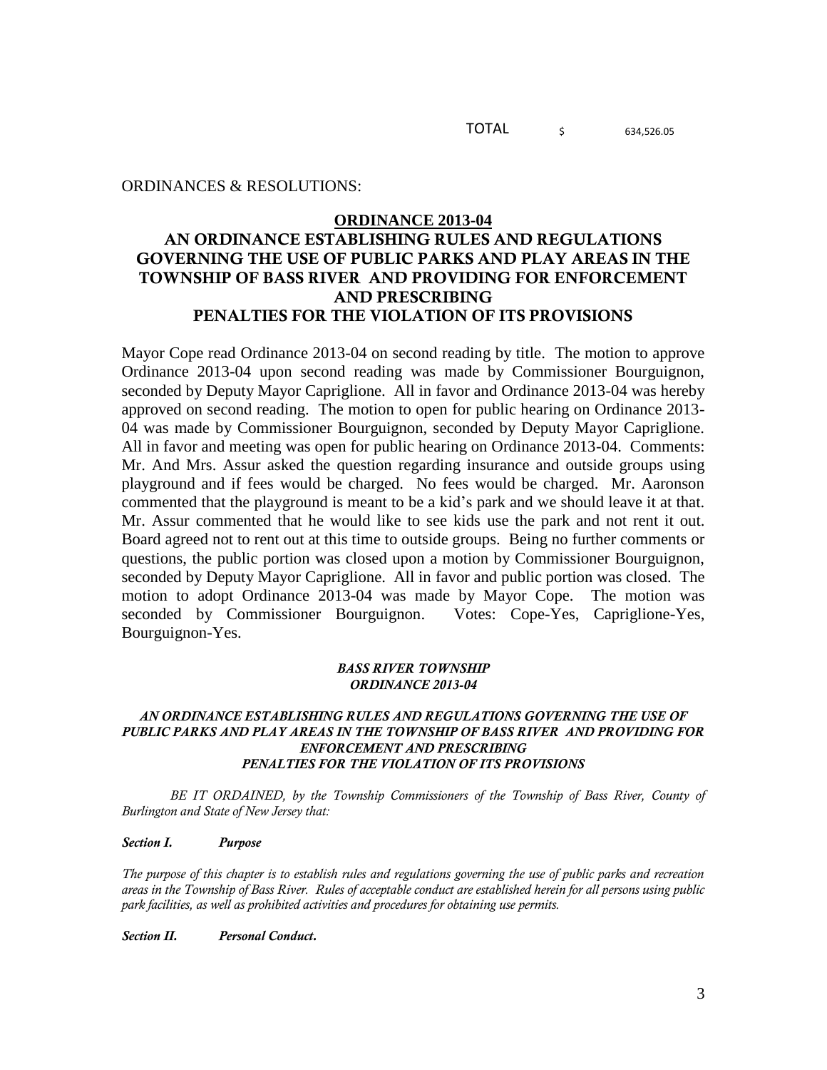TOTAL  $\frac{1}{5}$  634.526.05

ORDINANCES & RESOLUTIONS:

### **ORDINANCE 2013-04**

# **AN ORDINANCE ESTABLISHING RULES AND REGULATIONS GOVERNING THE USE OF PUBLIC PARKS AND PLAY AREAS IN THE TOWNSHIP OF BASS RIVER AND PROVIDING FOR ENFORCEMENT AND PRESCRIBING PENALTIES FOR THE VIOLATION OF ITS PROVISIONS**

Mayor Cope read Ordinance 2013-04 on second reading by title. The motion to approve Ordinance 2013-04 upon second reading was made by Commissioner Bourguignon, seconded by Deputy Mayor Capriglione. All in favor and Ordinance 2013-04 was hereby approved on second reading. The motion to open for public hearing on Ordinance 2013- 04 was made by Commissioner Bourguignon, seconded by Deputy Mayor Capriglione. All in favor and meeting was open for public hearing on Ordinance 2013-04. Comments: Mr. And Mrs. Assur asked the question regarding insurance and outside groups using playground and if fees would be charged. No fees would be charged. Mr. Aaronson commented that the playground is meant to be a kid's park and we should leave it at that. Mr. Assur commented that he would like to see kids use the park and not rent it out. Board agreed not to rent out at this time to outside groups. Being no further comments or questions, the public portion was closed upon a motion by Commissioner Bourguignon, seconded by Deputy Mayor Capriglione. All in favor and public portion was closed. The motion to adopt Ordinance 2013-04 was made by Mayor Cope. The motion was seconded by Commissioner Bourguignon. Votes: Cope-Yes, Capriglione-Yes, Bourguignon-Yes.

### *BASS RIVER TOWNSHIP ORDINANCE 2013-04*

### *AN ORDINANCE ESTABLISHING RULES AND REGULATIONS GOVERNING THE USE OF PUBLIC PARKS AND PLAY AREAS IN THE TOWNSHIP OF BASS RIVER AND PROVIDING FOR ENFORCEMENT AND PRESCRIBING PENALTIES FOR THE VIOLATION OF ITS PROVISIONS*

*BE IT ORDAINED, by the Township Commissioners of the Township of Bass River, County of Burlington and State of New Jersey that:*

### *Section I. Purpose*

*The purpose of this chapter is to establish rules and regulations governing the use of public parks and recreation areas in the Township of Bass River. Rules of acceptable conduct are established herein for all persons using public park facilities, as well as prohibited activities and procedures for obtaining use permits.* 

*Section II. Personal Conduct.*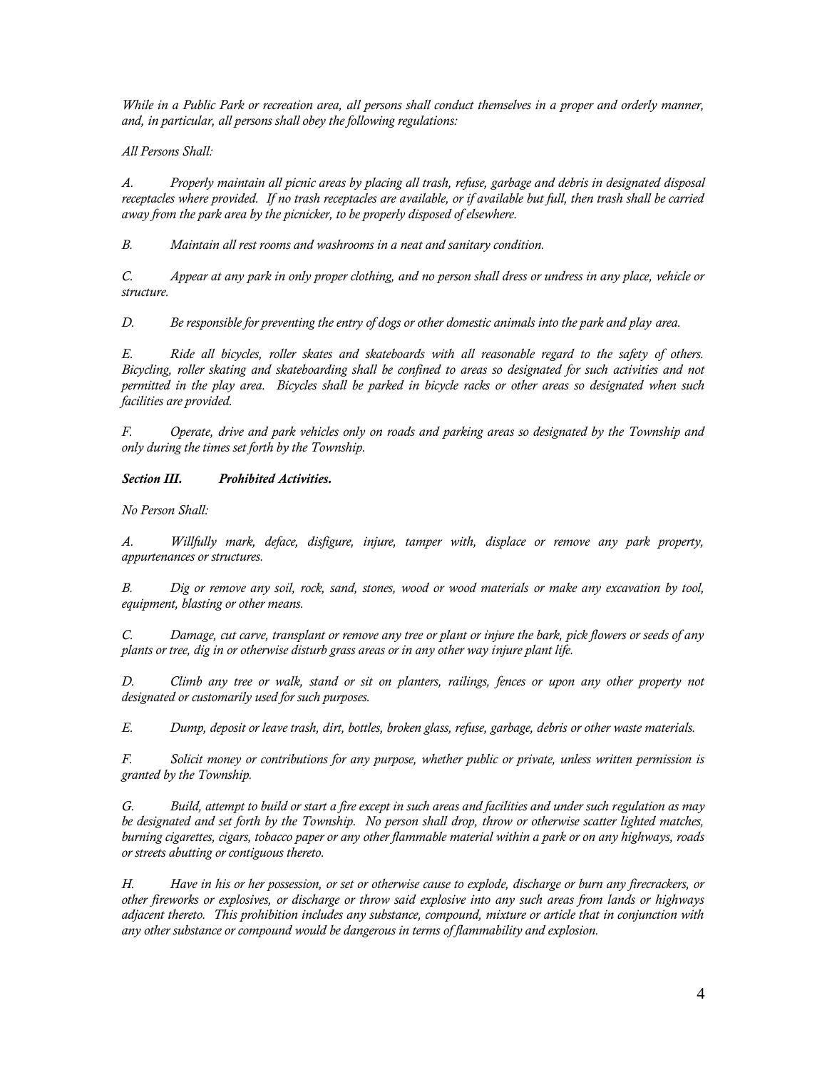*While in a Public Park or recreation area, all persons shall conduct themselves in a proper and orderly manner, and, in particular, all persons shall obey the following regulations:*

*All Persons Shall:*

*A. Properly maintain all picnic areas by placing all trash, refuse, garbage and debris in designated disposal receptacles where provided. If no trash receptacles are available, or if available but full, then trash shall be carried away from the park area by the picnicker, to be properly disposed of elsewhere.*

*B. Maintain all rest rooms and washrooms in a neat and sanitary condition.*

*C. Appear at any park in only proper clothing, and no person shall dress or undress in any place, vehicle or structure.*

*D. Be responsible for preventing the entry of dogs or other domestic animals into the park and play area.*

*E. Ride all bicycles, roller skates and skateboards with all reasonable regard to the safety of others. Bicycling, roller skating and skateboarding shall be confined to areas so designated for such activities and not permitted in the play area. Bicycles shall be parked in bicycle racks or other areas so designated when such facilities are provided.*

*F. Operate, drive and park vehicles only on roads and parking areas so designated by the Township and only during the times set forth by the Township.* 

*Section III. Prohibited Activities.*

*No Person Shall:* 

*A. Willfully mark, deface, disfigure, injure, tamper with, displace or remove any park property, appurtenances or structures.*

*B. Dig or remove any soil, rock, sand, stones, wood or wood materials or make any excavation by tool, equipment, blasting or other means.*

*C. Damage, cut carve, transplant or remove any tree or plant or injure the bark, pick flowers or seeds of any plants or tree, dig in or otherwise disturb grass areas or in any other way injure plant life.*

*D. Climb any tree or walk, stand or sit on planters, railings, fences or upon any other property not designated or customarily used for such purposes.*

*E. Dump, deposit or leave trash, dirt, bottles, broken glass, refuse, garbage, debris or other waste materials.*

*F. Solicit money or contributions for any purpose, whether public or private, unless written permission is granted by the Township.*

*G. Build, attempt to build or start a fire except in such areas and facilities and under such regulation as may be designated and set forth by the Township. No person shall drop, throw or otherwise scatter lighted matches, burning cigarettes, cigars, tobacco paper or any other flammable material within a park or on any highways, roads or streets abutting or contiguous thereto.* 

*H. Have in his or her possession, or set or otherwise cause to explode, discharge or burn any firecrackers, or other fireworks or explosives, or discharge or throw said explosive into any such areas from lands or highways adjacent thereto. This prohibition includes any substance, compound, mixture or article that in conjunction with any other substance or compound would be dangerous in terms of flammability and explosion.*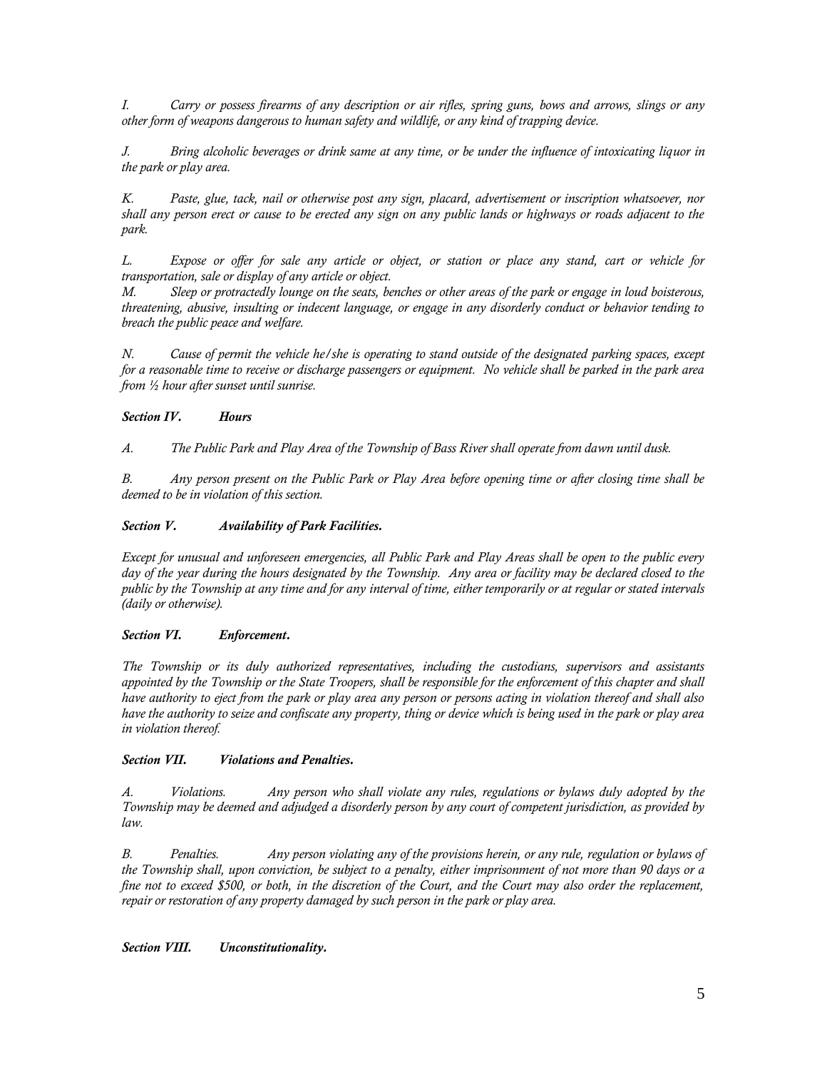*I. Carry or possess firearms of any description or air rifles, spring guns, bows and arrows, slings or any other form of weapons dangerous to human safety and wildlife, or any kind of trapping device.* 

*J. Bring alcoholic beverages or drink same at any time, or be under the influence of intoxicating liquor in the park or play area.*

*K. Paste, glue, tack, nail or otherwise post any sign, placard, advertisement or inscription whatsoever, nor shall any person erect or cause to be erected any sign on any public lands or highways or roads adjacent to the park.*

*L. Expose or offer for sale any article or object, or station or place any stand, cart or vehicle for transportation, sale or display of any article or object.* 

*M. Sleep or protractedly lounge on the seats, benches or other areas of the park or engage in loud boisterous, threatening, abusive, insulting or indecent language, or engage in any disorderly conduct or behavior tending to breach the public peace and welfare.*

*N. Cause of permit the vehicle he/she is operating to stand outside of the designated parking spaces, except for a reasonable time to receive or discharge passengers or equipment. No vehicle shall be parked in the park area from ½ hour after sunset until sunrise.* 

### *Section IV. Hours*

*A. The Public Park and Play Area of the Township of Bass River shall operate from dawn until dusk.*

*B. Any person present on the Public Park or Play Area before opening time or after closing time shall be deemed to be in violation of this section.*

### *Section V. Availability of Park Facilities.*

*Except for unusual and unforeseen emergencies, all Public Park and Play Areas shall be open to the public every*  day of the year during the hours designated by the Township. Any area or facility may be declared closed to the *public by the Township at any time and for any interval of time, either temporarily or at regular or stated intervals (daily or otherwise).*

### *Section VI. Enforcement.*

*The Township or its duly authorized representatives, including the custodians, supervisors and assistants appointed by the Township or the State Troopers, shall be responsible for the enforcement of this chapter and shall have authority to eject from the park or play area any person or persons acting in violation thereof and shall also have the authority to seize and confiscate any property, thing or device which is being used in the park or play area in violation thereof.*

### *Section VII. Violations and Penalties.*

*A. Violations. Any person who shall violate any rules, regulations or bylaws duly adopted by the Township may be deemed and adjudged a disorderly person by any court of competent jurisdiction, as provided by law.* 

*B. Penalties. Any person violating any of the provisions herein, or any rule, regulation or bylaws of the Township shall, upon conviction, be subject to a penalty, either imprisonment of not more than 90 days or a fine not to exceed \$500, or both, in the discretion of the Court, and the Court may also order the replacement, repair or restoration of any property damaged by such person in the park or play area.* 

### *Section VIII. Unconstitutionality.*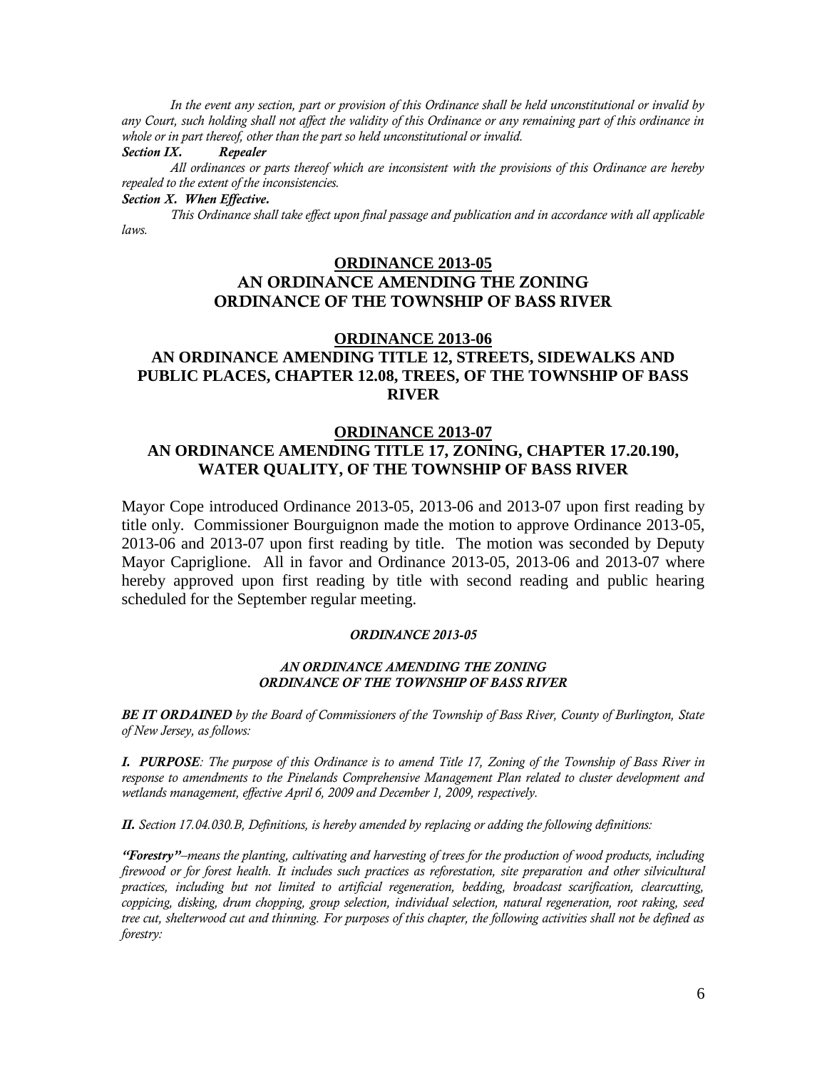*In the event any section, part or provision of this Ordinance shall be held unconstitutional or invalid by any Court, such holding shall not affect the validity of this Ordinance or any remaining part of this ordinance in whole or in part thereof, other than the part so held unconstitutional or invalid. Section IX. Repealer*

*All ordinances or parts thereof which are inconsistent with the provisions of this Ordinance are hereby repealed to the extent of the inconsistencies.* 

### *Section X. When Effective.*

*This Ordinance shall take effect upon final passage and publication and in accordance with all applicable laws.* 

# **ORDINANCE 2013-05 AN ORDINANCE AMENDING THE ZONING ORDINANCE OF THE TOWNSHIP OF BASS RIVER**

## **ORDINANCE 2013-06 AN ORDINANCE AMENDING TITLE 12, STREETS, SIDEWALKS AND PUBLIC PLACES, CHAPTER 12.08, TREES, OF THE TOWNSHIP OF BASS RIVER**

# **ORDINANCE 2013-07 AN ORDINANCE AMENDING TITLE 17, ZONING, CHAPTER 17.20.190, WATER QUALITY, OF THE TOWNSHIP OF BASS RIVER**

Mayor Cope introduced Ordinance 2013-05, 2013-06 and 2013-07 upon first reading by title only. Commissioner Bourguignon made the motion to approve Ordinance 2013-05, 2013-06 and 2013-07 upon first reading by title. The motion was seconded by Deputy Mayor Capriglione. All in favor and Ordinance 2013-05, 2013-06 and 2013-07 where hereby approved upon first reading by title with second reading and public hearing scheduled for the September regular meeting.

#### *ORDINANCE 2013-05*

### *AN ORDINANCE AMENDING THE ZONING ORDINANCE OF THE TOWNSHIP OF BASS RIVER*

*BE IT ORDAINED by the Board of Commissioners of the Township of Bass River, County of Burlington, State of New Jersey, as follows:*

*I. PURPOSE: The purpose of this Ordinance is to amend Title 17, Zoning of the Township of Bass River in response to amendments to the Pinelands Comprehensive Management Plan related to cluster development and wetlands management, effective April 6, 2009 and December 1, 2009, respectively.*

*II. Section 17.04.030.B, Definitions, is hereby amended by replacing or adding the following definitions:* 

*"Forestry"–means the planting, cultivating and harvesting of trees for the production of wood products, including firewood or for forest health. It includes such practices as reforestation, site preparation and other silvicultural practices, including but not limited to artificial regeneration, bedding, broadcast scarification, clearcutting, coppicing, disking, drum chopping, group selection, individual selection, natural regeneration, root raking, seed tree cut, shelterwood cut and thinning. For purposes of this chapter, the following activities shall not be defined as forestry:*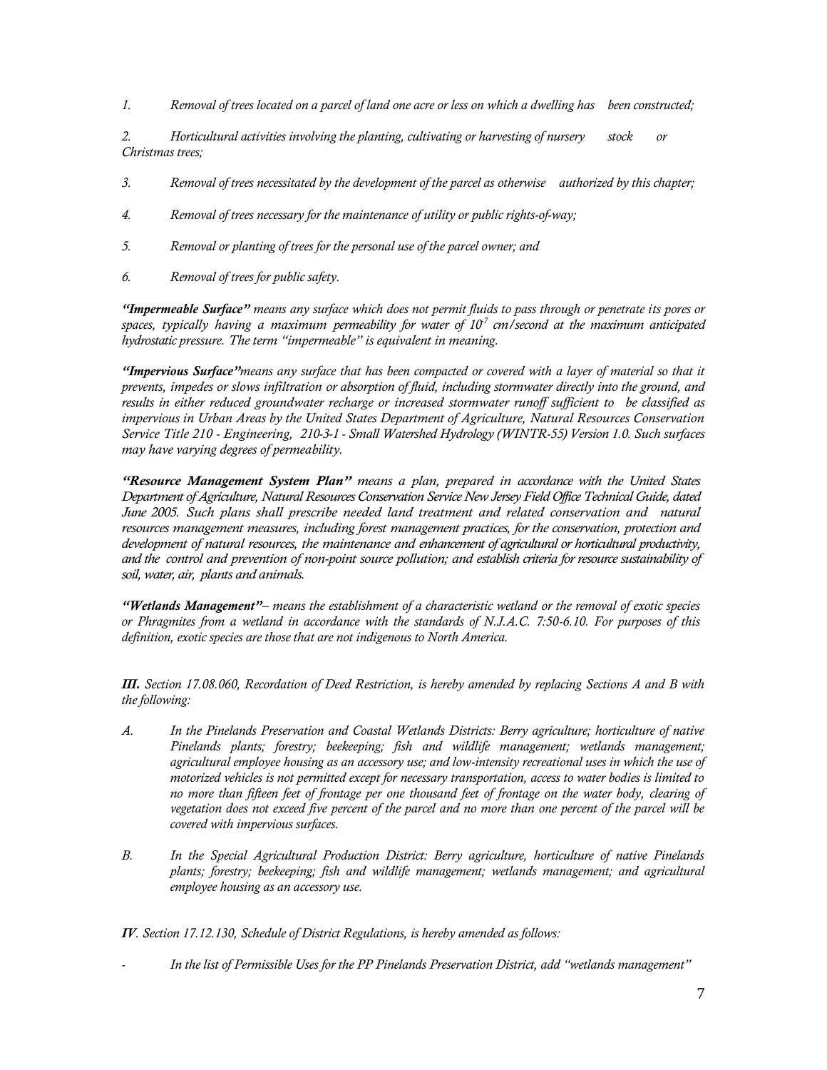*1. Removal of trees located on a parcel of land one acre or less on which a dwelling has been constructed;*

*2. Horticultural activities involving the planting, cultivating or harvesting of nursery stock or Christmas trees;*

- *3. Removal of trees necessitated by the development of the parcel as otherwise authorized by this chapter;*
- *4. Removal of trees necessary for the maintenance of utility or public rights-of-way;*
- *5. Removal or planting of trees for the personal use of the parcel owner; and*
- *6. Removal of trees for public safety.*

*"Impermeable Surface" means any surface which does not permit fluids to pass through or penetrate its pores or*  spaces, typically having a maximum permeability for water of 10<sup>7</sup> cm/second at the maximum anticipated *hydrostatic pressure. The term "impermeable" is equivalent in meaning.*

*"Impervious Surface"means any surface that has been compacted or covered with a layer of material so that it prevents, impedes or slows infiltration or absorption of fluid, including stormwater directly into the ground, and results in either reduced groundwater recharge or increased stormwater runoff sufficient to be classified as impervious in Urban Areas by the United States Department of Agriculture, Natural Resources Conservation Service Title 210 - Engineering, 210-3-1 - Small Watershed Hydrology (WINTR-55) Version 1.0. Such surfaces may have varying degrees of permeability.*

*"Resource Management System Plan" means a plan, prepared in accordance with the United States Department of Agriculture, Natural Resources Conservation Service New Jersey Field Office Technical Guide, dated June 2005. Such plans shall prescribe needed land treatment and related conservation and natural resources management measures, including forest management practices, for the conservation, protection and development of natural resources, the maintenance and enhancement of agricultural or horticultural productivity, and the control and prevention of non-point source pollution; and establish criteria for resource sustainability of soil, water, air, plants and animals.* 

*"Wetlands Management"– means the establishment of a characteristic wetland or the removal of exotic species or Phragmites from a wetland in accordance with the standards of N.J.A.C. 7:50-6.10. For purposes of this definition, exotic species are those that are not indigenous to North America.*

*III. Section 17.08.060, Recordation of Deed Restriction, is hereby amended by replacing Sections A and B with the following:*

- *A. In the Pinelands Preservation and Coastal Wetlands Districts: Berry agriculture; horticulture of native Pinelands plants; forestry; beekeeping; fish and wildlife management; wetlands management; agricultural employee housing as an accessory use; and low-intensity recreational uses in which the use of motorized vehicles is not permitted except for necessary transportation, access to water bodies is limited to no more than fifteen feet of frontage per one thousand feet of frontage on the water body, clearing of vegetation does not exceed five percent of the parcel and no more than one percent of the parcel will be covered with impervious surfaces.*
- *B. In the Special Agricultural Production District: Berry agriculture, horticulture of native Pinelands plants; forestry; beekeeping; fish and wildlife management; wetlands management; and agricultural employee housing as an accessory use.*

*IV. Section 17.12.130, Schedule of District Regulations, is hereby amended as follows:*

*- In the list of Permissible Uses for the PP Pinelands Preservation District, add "wetlands management"*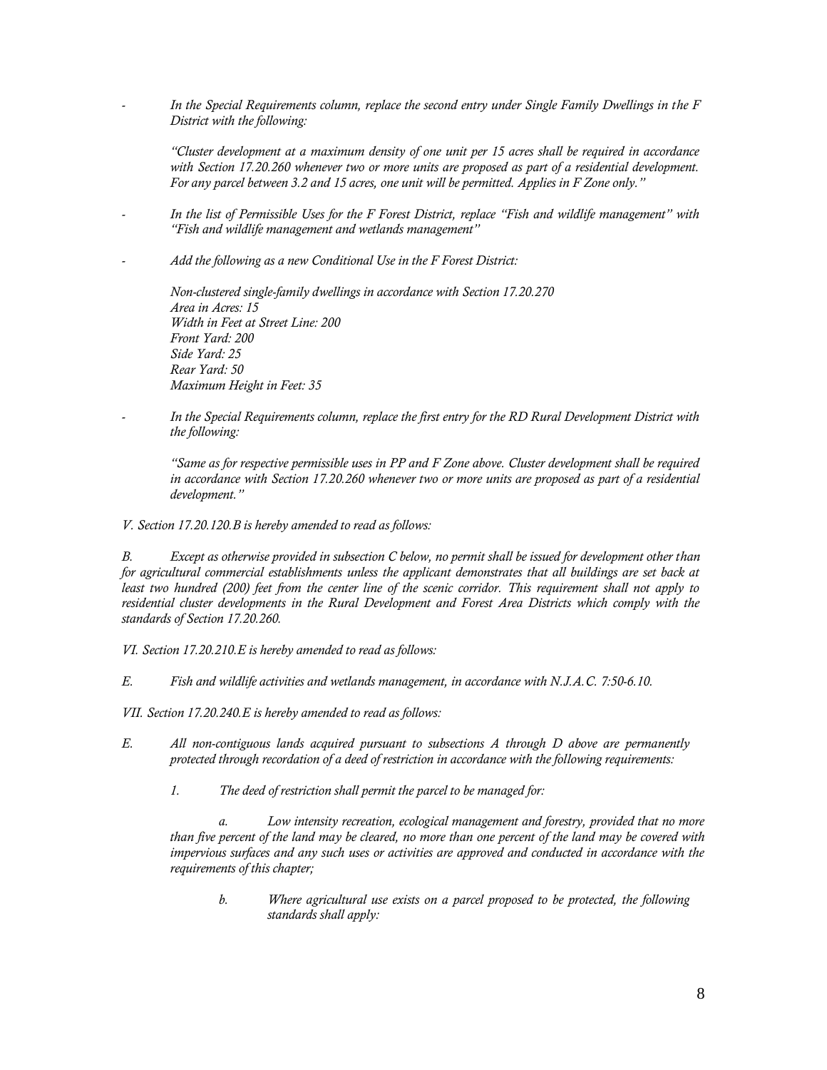*- In the Special Requirements column, replace the second entry under Single Family Dwellings in the F District with the following:*

*"Cluster development at a maximum density of one unit per 15 acres shall be required in accordance with Section 17.20.260 whenever two or more units are proposed as part of a residential development. For any parcel between 3.2 and 15 acres, one unit will be permitted. Applies in F Zone only."*

- *- In the list of Permissible Uses for the F Forest District, replace "Fish and wildlife management" with "Fish and wildlife management and wetlands management"*
- *- Add the following as a new Conditional Use in the F Forest District:*

*Non-clustered single-family dwellings in accordance with Section 17.20.270 Area in Acres: 15 Width in Feet at Street Line: 200 Front Yard: 200 Side Yard: 25 Rear Yard: 50 Maximum Height in Feet: 35*

*- In the Special Requirements column, replace the first entry for the RD Rural Development District with the following:*

*"Same as for respective permissible uses in PP and F Zone above. Cluster development shall be required in accordance with Section 17.20.260 whenever two or more units are proposed as part of a residential development."*

### *V. Section 17.20.120.B is hereby amended to read as follows:*

*B. Except as otherwise provided in subsection C below, no permit shall be issued for development other than for agricultural commercial establishments unless the applicant demonstrates that all buildings are set back at least two hundred (200) feet from the center line of the scenic corridor. This requirement shall not apply to residential cluster developments in the Rural Development and Forest Area Districts which comply with the standards of Section 17.20.260.*

*VI. Section 17.20.210.E is hereby amended to read as follows:* 

*E. Fish and wildlife activities and wetlands management, in accordance with N.J.A.C. 7:50-6.10.*

*VII. Section 17.20.240.E is hereby amended to read as follows:* 

- *E. All non-contiguous lands acquired pursuant to subsections A through D above are permanently protected through recordation of a deed of restriction in accordance with the following requirements:* 
	- *1. The deed of restriction shall permit the parcel to be managed for:*

Low intensity recreation, ecological management and forestry, provided that no more *than five percent of the land may be cleared, no more than one percent of the land may be covered with impervious surfaces and any such uses or activities are approved and conducted in accordance with the requirements of this chapter;* 

*b. Where agricultural use exists on a parcel proposed to be protected, the following standards shall apply:*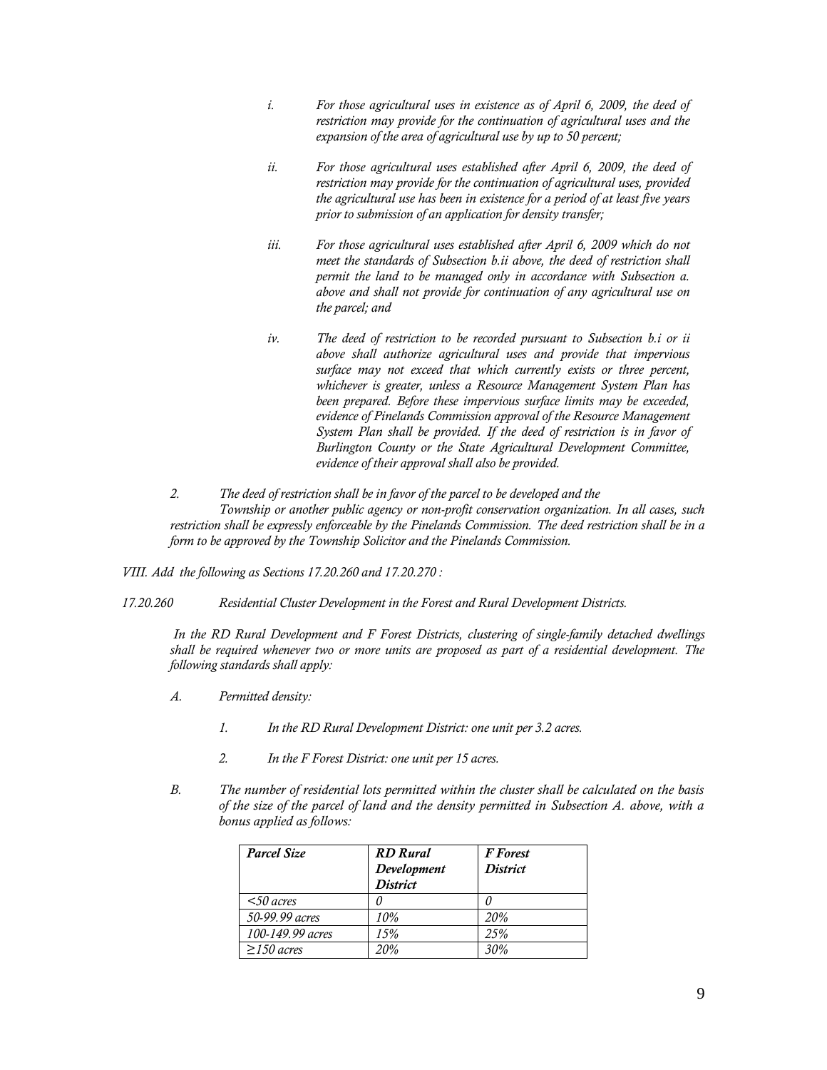- *i. For those agricultural uses in existence as of April 6, 2009, the deed of restriction may provide for the continuation of agricultural uses and the expansion of the area of agricultural use by up to 50 percent;*
- *ii. For those agricultural uses established after April 6, 2009, the deed of restriction may provide for the continuation of agricultural uses, provided the agricultural use has been in existence for a period of at least five years prior to submission of an application for density transfer;*
- iii. For those agricultural uses established after April 6, 2009 which do not *meet the standards of Subsection b.ii above, the deed of restriction shall permit the land to be managed only in accordance with Subsection a. above and shall not provide for continuation of any agricultural use on the parcel; and*
- *iv. The deed of restriction to be recorded pursuant to Subsection b.i or ii above shall authorize agricultural uses and provide that impervious surface may not exceed that which currently exists or three percent, whichever is greater, unless a Resource Management System Plan has been prepared. Before these impervious surface limits may be exceeded, evidence of Pinelands Commission approval of the Resource Management System Plan shall be provided. If the deed of restriction is in favor of Burlington County or the State Agricultural Development Committee, evidence of their approval shall also be provided.*
- *2. The deed of restriction shall be in favor of the parcel to be developed and the Township or another public agency or non-profit conservation organization. In all cases, such restriction shall be expressly enforceable by the Pinelands Commission. The deed restriction shall be in a form to be approved by the Township Solicitor and the Pinelands Commission.*

*VIII. Add the following as Sections 17.20.260 and 17.20.270 :* 

*17.20.260 Residential Cluster Development in the Forest and Rural Development Districts.*

*In the RD Rural Development and F Forest Districts, clustering of single-family detached dwellings shall be required whenever two or more units are proposed as part of a residential development. The following standards shall apply:* 

- *A. Permitted density:* 
	- *1. In the RD Rural Development District: one unit per 3.2 acres.*
	- *2. In the F Forest District: one unit per 15 acres.*
- *B. The number of residential lots permitted within the cluster shall be calculated on the basis of the size of the parcel of land and the density permitted in Subsection A. above, with a bonus applied as follows:*

| <b>Parcel Size</b> | <b>RD</b> Rural<br>Development<br><b>District</b> | <b>F</b> Forest<br><b>District</b> |
|--------------------|---------------------------------------------------|------------------------------------|
| $<$ 50 acres       |                                                   |                                    |
| 50-99.99 acres     | 10%                                               | 20%                                |
| 100-149.99 acres   | 15%                                               | 25%                                |
| $\geq$ 150 acres   | 20%                                               | 30%                                |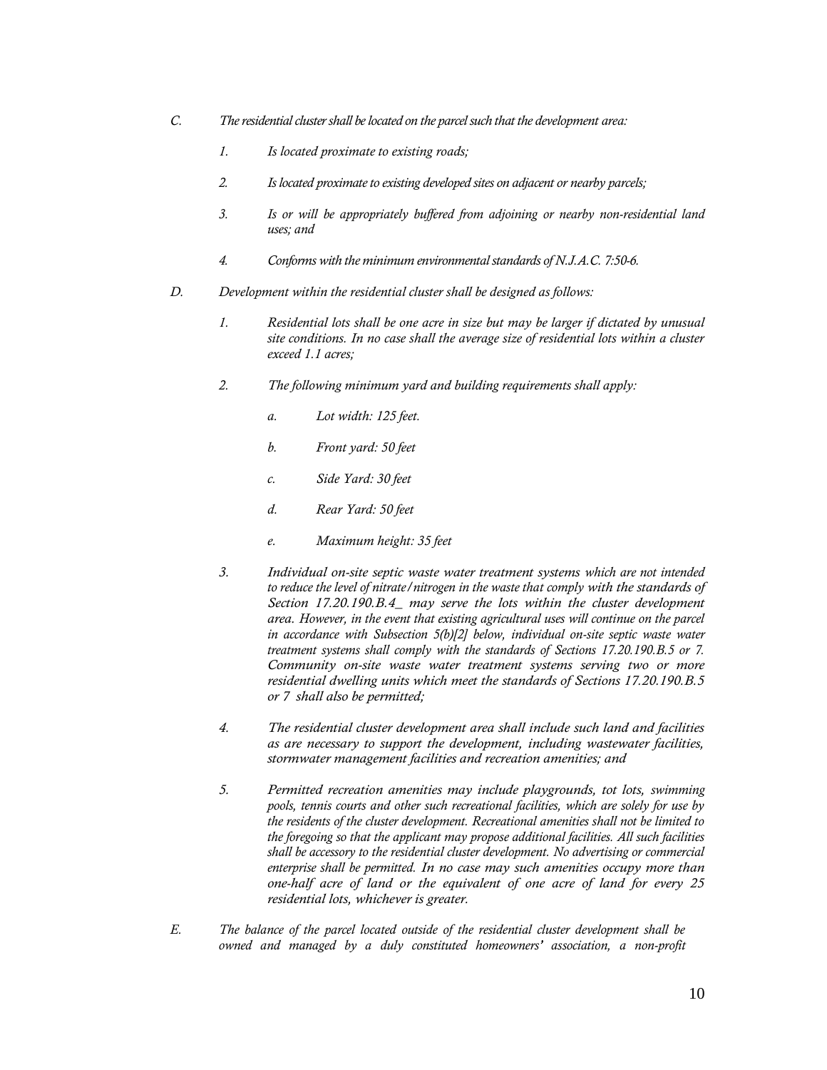- *C. The residential cluster shall be located on the parcel such that the development area:*
	- *1. Is located proximate to existing roads;*
	- *2. Is located proximate to existing developed sites on adjacent or nearby parcels;*
	- *3. Is or will be appropriately buffered from adjoining or nearby non-residential land uses; and*
	- *4. Conforms with the minimum environmental standards of N.J.A.C. 7:50-6.*
- *D. Development within the residential cluster shall be designed as follows:* 
	- *1. Residential lots shall be one acre in size but may be larger if dictated by unusual site conditions. In no case shall the average size of residential lots within a cluster exceed 1.1 acres;*
	- *2. The following minimum yard and building requirements shall apply:* 
		- *a. Lot width: 125 feet.*
		- *b. Front yard: 50 feet*
		- *c. Side Yard: 30 feet*
		- *d. Rear Yard: 50 feet*
		- *e. Maximum height: 35 feet*
	- *3. Individual on-site septic waste water treatment systems which are not intended to reduce the level of nitrate/nitrogen in the waste that comply with the standards of Section 17.20.190.B.4\_ may serve the lots within the cluster development area. However, in the event that existing agricultural uses will continue on the parcel in accordance with Subsection 5(b)[2] below, individual on-site septic waste water treatment systems shall comply with the standards of Sections 17.20.190.B.5 or 7. Community on-site waste water treatment systems serving two or more residential dwelling units which meet the standards of Sections 17.20.190.B.5 or 7 shall also be permitted;*
	- *4. The residential cluster development area shall include such land and facilities as are necessary to support the development, including wastewater facilities, stormwater management facilities and recreation amenities; and*
	- *5. Permitted recreation amenities may include playgrounds, tot lots, swimming pools, tennis courts and other such recreational facilities, which are solely for use by the residents of the cluster development. Recreational amenities shall not be limited to the foregoing so that the applicant may propose additional facilities. All such facilities shall be accessory to the residential cluster development. No advertising or commercial enterprise shall be permitted. In no case may such amenities occupy more than one-half acre of land or the equivalent of one acre of land for every 25 residential lots, whichever is greater.*
- *E. The balance of the parcel located outside of the residential cluster development shall be owned and managed by a duly constituted homeowners' association, a non-profit*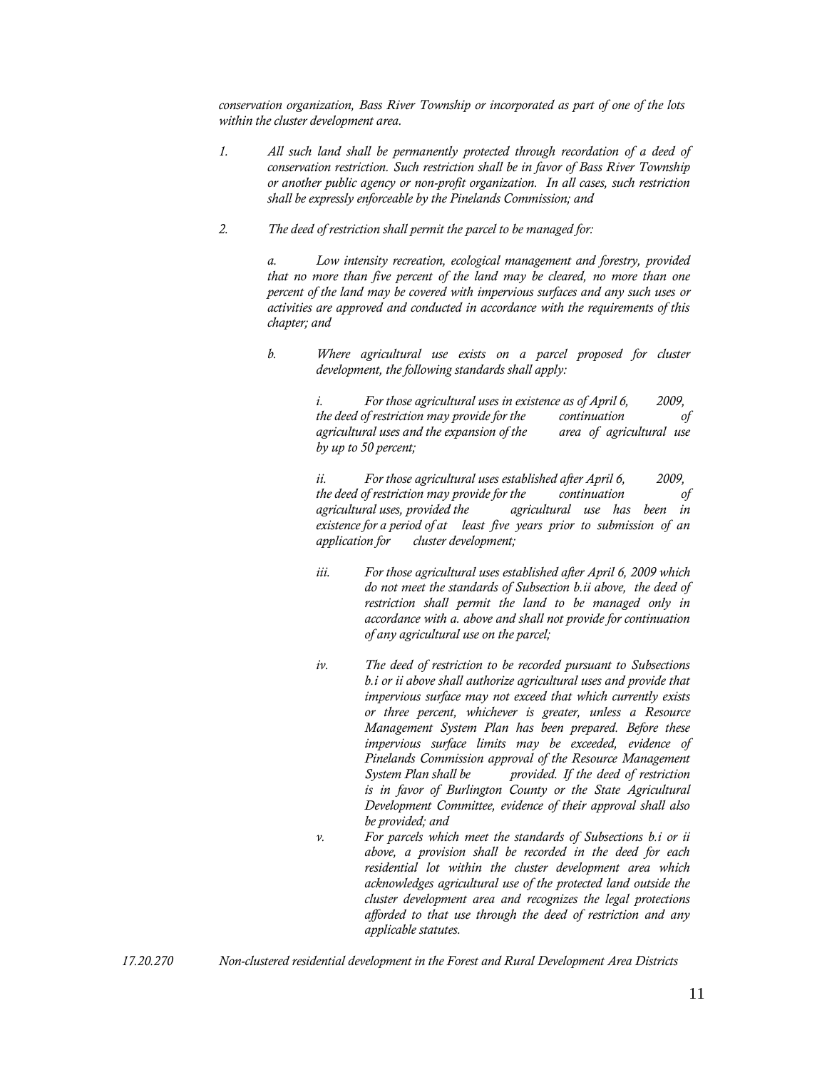*conservation organization, Bass River Township or incorporated as part of one of the lots within the cluster development area.*

- *1. All such land shall be permanently protected through recordation of a deed of conservation restriction. Such restriction shall be in favor of Bass River Township or another public agency or non-profit organization. In all cases, such restriction shall be expressly enforceable by the Pinelands Commission; and*
- *2. The deed of restriction shall permit the parcel to be managed for:*

*a. Low intensity recreation, ecological management and forestry, provided that no more than five percent of the land may be cleared, no more than one percent of the land may be covered with impervious surfaces and any such uses or activities are approved and conducted in accordance with the requirements of this chapter; and*

*b. Where agricultural use exists on a parcel proposed for cluster development, the following standards shall apply:*

> *i. For those agricultural uses in existence as of April 6, 2009, the deed of restriction may provide for the continuation of agricultural uses and the expansion of the area of agricultural use by up to 50 percent;*

> *ii. For those agricultural uses established after April 6, 2009, the deed of restriction may provide for the continuation of agricultural uses, provided the agricultural use has been in existence for a period of at least five years prior to submission of an application for cluster development;*

- *iii. For those agricultural uses established after April 6, 2009 which do not meet the standards of Subsection b.ii above, the deed of restriction shall permit the land to be managed only in accordance with a. above and shall not provide for continuation of any agricultural use on the parcel;*
- *iv. The deed of restriction to be recorded pursuant to Subsections b.i or ii above shall authorize agricultural uses and provide that impervious surface may not exceed that which currently exists or three percent, whichever is greater, unless a Resource Management System Plan has been prepared. Before these impervious surface limits may be exceeded, evidence of Pinelands Commission approval of the Resource Management System Plan shall be provided. If the deed of restriction is in favor of Burlington County or the State Agricultural Development Committee, evidence of their approval shall also be provided; and*
- *v. For parcels which meet the standards of Subsections b.i or ii above, a provision shall be recorded in the deed for each residential lot within the cluster development area which acknowledges agricultural use of the protected land outside the cluster development area and recognizes the legal protections afforded to that use through the deed of restriction and any applicable statutes.*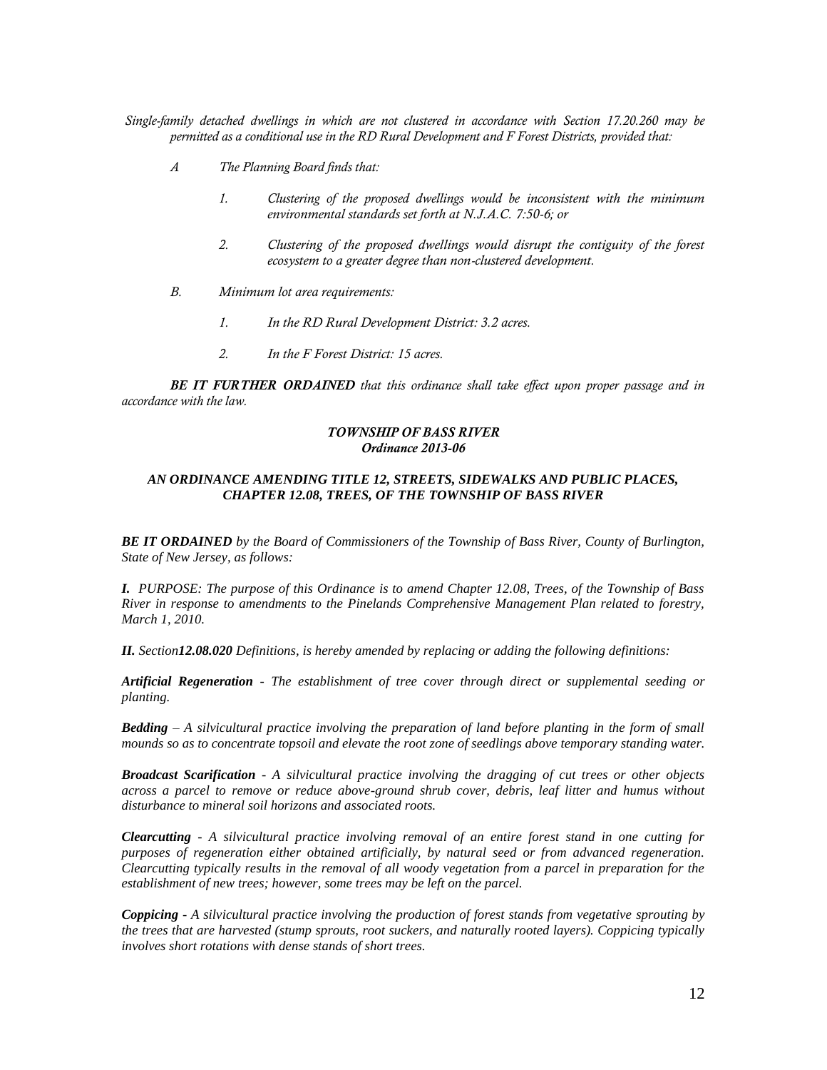*Single-family detached dwellings in which are not clustered in accordance with Section 17.20.260 may be permitted as a conditional use in the RD Rural Development and F Forest Districts, provided that:* 

- *A The Planning Board finds that:*
	- *1. Clustering of the proposed dwellings would be inconsistent with the minimum environmental standards set forth at N.J.A.C. 7:50-6; or*
	- *2. Clustering of the proposed dwellings would disrupt the contiguity of the forest ecosystem to a greater degree than non-clustered development.*
- *B. Minimum lot area requirements:* 
	- *1. In the RD Rural Development District: 3.2 acres.*
	- *2. In the F Forest District: 15 acres.*

*BE IT FURTHER ORDAINED that this ordinance shall take effect upon proper passage and in accordance with the law.*

#### *TOWNSHIP OF BASS RIVER Ordinance 2013-06*

#### *AN ORDINANCE AMENDING TITLE 12, STREETS, SIDEWALKS AND PUBLIC PLACES, CHAPTER 12.08, TREES, OF THE TOWNSHIP OF BASS RIVER*

*BE IT ORDAINED by the Board of Commissioners of the Township of Bass River, County of Burlington, State of New Jersey, as follows:*

*I. PURPOSE: The purpose of this Ordinance is to amend Chapter 12.08, Trees, of the Township of Bass River in response to amendments to the Pinelands Comprehensive Management Plan related to forestry, March 1, 2010.*

*II. Section12.08.020 Definitions, is hereby amended by replacing or adding the following definitions:* 

*Artificial Regeneration - The establishment of tree cover through direct or supplemental seeding or planting.*

*Bedding – A silvicultural practice involving the preparation of land before planting in the form of small mounds so as to concentrate topsoil and elevate the root zone of seedlings above temporary standing water.*

*Broadcast Scarification - A silvicultural practice involving the dragging of cut trees or other objects across a parcel to remove or reduce above-ground shrub cover, debris, leaf litter and humus without disturbance to mineral soil horizons and associated roots.*

*Clearcutting - A silvicultural practice involving removal of an entire forest stand in one cutting for purposes of regeneration either obtained artificially, by natural seed or from advanced regeneration. Clearcutting typically results in the removal of all woody vegetation from a parcel in preparation for the establishment of new trees; however, some trees may be left on the parcel.*

*Coppicing - A silvicultural practice involving the production of forest stands from vegetative sprouting by the trees that are harvested (stump sprouts, root suckers, and naturally rooted layers). Coppicing typically involves short rotations with dense stands of short trees.*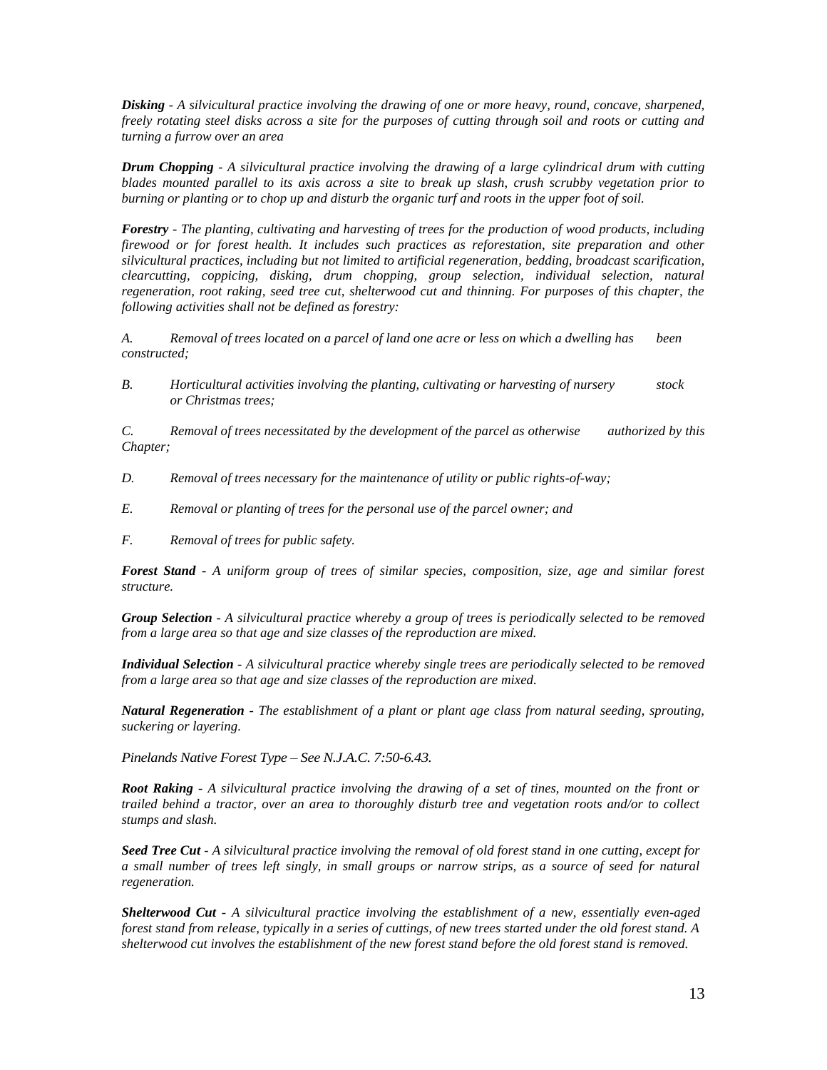*Disking - A silvicultural practice involving the drawing of one or more heavy, round, concave, sharpened, freely rotating steel disks across a site for the purposes of cutting through soil and roots or cutting and turning a furrow over an area*

*Drum Chopping - A silvicultural practice involving the drawing of a large cylindrical drum with cutting blades mounted parallel to its axis across a site to break up slash, crush scrubby vegetation prior to burning or planting or to chop up and disturb the organic turf and roots in the upper foot of soil.*

*Forestry - The planting, cultivating and harvesting of trees for the production of wood products, including firewood or for forest health. It includes such practices as reforestation, site preparation and other silvicultural practices, including but not limited to artificial regeneration, bedding, broadcast scarification, clearcutting, coppicing, disking, drum chopping, group selection, individual selection, natural regeneration, root raking, seed tree cut, shelterwood cut and thinning. For purposes of this chapter, the following activities shall not be defined as forestry:*

*A. Removal of trees located on a parcel of land one acre or less on which a dwelling has been constructed;*

*B. Horticultural activities involving the planting, cultivating or harvesting of nursery stock or Christmas trees;*

*C. Removal of trees necessitated by the development of the parcel as otherwise authorized by this Chapter;*

- *D. Removal of trees necessary for the maintenance of utility or public rights-of-way;*
- *E. Removal or planting of trees for the personal use of the parcel owner; and*
- *F. Removal of trees for public safety.*

*Forest Stand - A uniform group of trees of similar species, composition, size, age and similar forest structure.*

*Group Selection - A silvicultural practice whereby a group of trees is periodically selected to be removed from a large area so that age and size classes of the reproduction are mixed.*

*Individual Selection - A silvicultural practice whereby single trees are periodically selected to be removed from a large area so that age and size classes of the reproduction are mixed.*

*Natural Regeneration - The establishment of a plant or plant age class from natural seeding, sprouting, suckering or layering.*

*Pinelands Native Forest Type – See N.J.A.C. 7:50-6.43.*

*Root Raking - A silvicultural practice involving the drawing of a set of tines, mounted on the front or trailed behind a tractor, over an area to thoroughly disturb tree and vegetation roots and/or to collect stumps and slash.*

*Seed Tree Cut - A silvicultural practice involving the removal of old forest stand in one cutting, except for a small number of trees left singly, in small groups or narrow strips, as a source of seed for natural regeneration.*

*Shelterwood Cut - A silvicultural practice involving the establishment of a new, essentially even-aged forest stand from release, typically in a series of cuttings, of new trees started under the old forest stand. A shelterwood cut involves the establishment of the new forest stand before the old forest stand is removed.*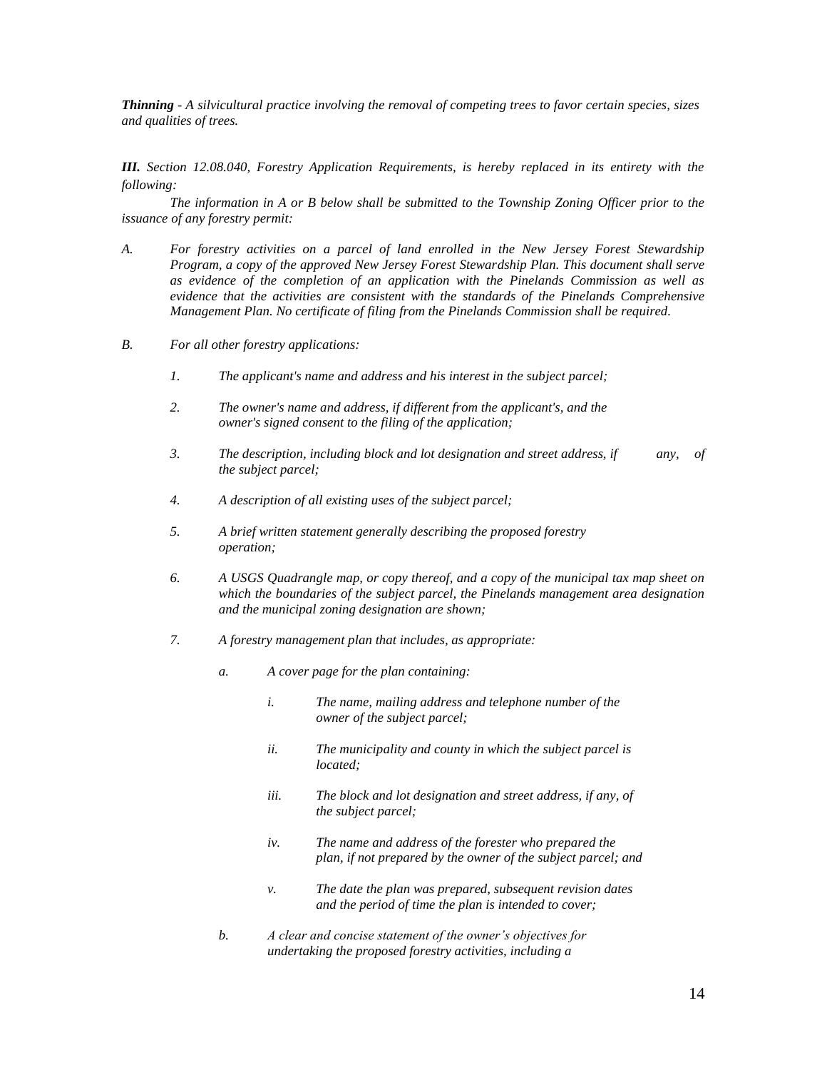*Thinning - A silvicultural practice involving the removal of competing trees to favor certain species, sizes and qualities of trees.*

*III. Section 12.08.040, Forestry Application Requirements, is hereby replaced in its entirety with the following:*

*The information in A or B below shall be submitted to the Township Zoning Officer prior to the issuance of any forestry permit:*

- *A. For forestry activities on a parcel of land enrolled in the New Jersey Forest Stewardship Program, a copy of the approved New Jersey Forest Stewardship Plan. This document shall serve as evidence of the completion of an application with the Pinelands Commission as well as evidence that the activities are consistent with the standards of the Pinelands Comprehensive Management Plan. No certificate of filing from the Pinelands Commission shall be required.*
- *B. For all other forestry applications:* 
	- *1. The applicant's name and address and his interest in the subject parcel;*
	- *2. The owner's name and address, if different from the applicant's, and the owner's signed consent to the filing of the application;*
	- *3. The description, including block and lot designation and street address, if any, of the subject parcel;*
	- *4. A description of all existing uses of the subject parcel;*
	- *5. A brief written statement generally describing the proposed forestry operation;*
	- *6. A USGS Quadrangle map, or copy thereof, and a copy of the municipal tax map sheet on which the boundaries of the subject parcel, the Pinelands management area designation and the municipal zoning designation are shown;*
	- *7. A forestry management plan that includes, as appropriate:*
		- *a. A cover page for the plan containing:*
			- *i. The name, mailing address and telephone number of the owner of the subject parcel;*
			- *ii. The municipality and county in which the subject parcel is located;*
			- *iii. The block and lot designation and street address, if any, of the subject parcel;*
			- *iv. The name and address of the forester who prepared the plan, if not prepared by the owner of the subject parcel; and*
			- *v. The date the plan was prepared, subsequent revision dates and the period of time the plan is intended to cover;*
		- *b. A clear and concise statement of the owner's objectives for undertaking the proposed forestry activities, including a*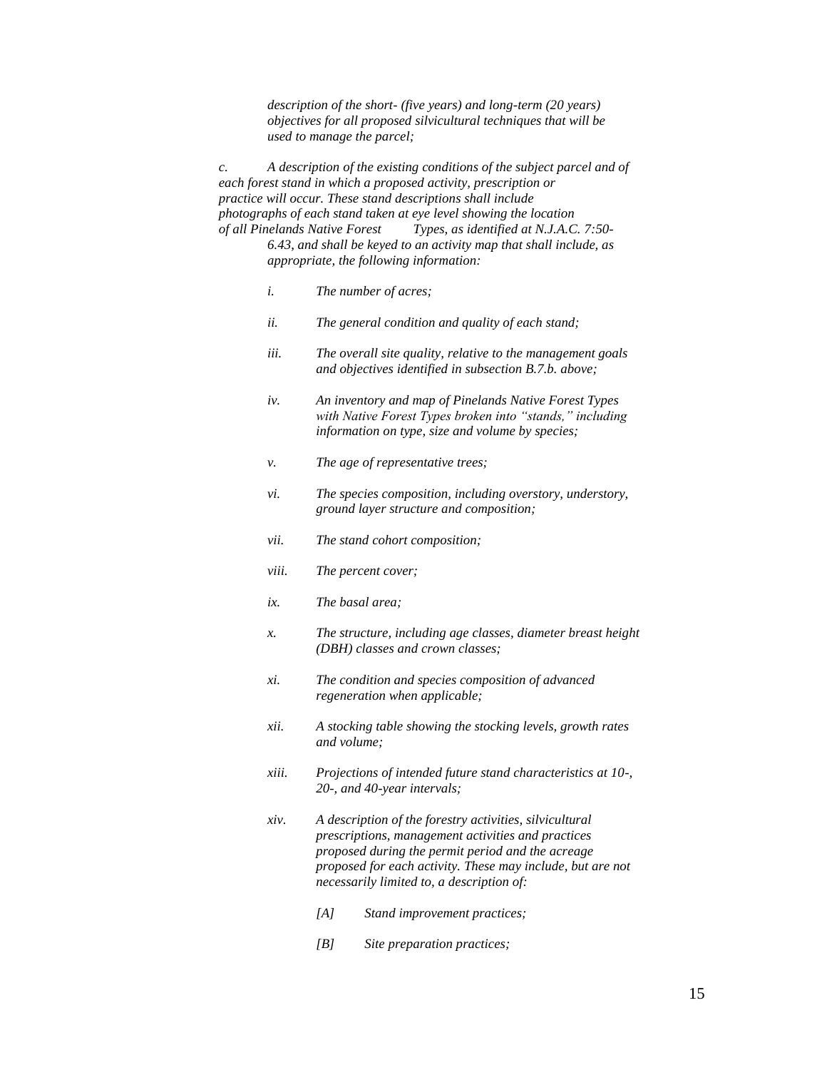*description of the short- (five years) and long-term (20 years) objectives for all proposed silvicultural techniques that will be used to manage the parcel;*

*c. A description of the existing conditions of the subject parcel and of each forest stand in which a proposed activity, prescription or practice will occur. These stand descriptions shall include photographs of each stand taken at eye level showing the location of all Pinelands Native Forest Types, as identified at N.J.A.C. 7:50- 6.43, and shall be keyed to an activity map that shall include, as appropriate, the following information:*

- *i. The number of acres;*
- *ii. The general condition and quality of each stand;*
- *iii. The overall site quality, relative to the management goals and objectives identified in subsection B.7.b. above;*
- *iv. An inventory and map of Pinelands Native Forest Types with Native Forest Types broken into "stands," including information on type, size and volume by species;*
- *v. The age of representative trees;*
- *vi. The species composition, including overstory, understory, ground layer structure and composition;*
- *vii. The stand cohort composition;*
- *viii. The percent cover;*
- *ix. The basal area;*
- *x. The structure, including age classes, diameter breast height (DBH) classes and crown classes;*
- *xi. The condition and species composition of advanced regeneration when applicable;*
- *xii. A stocking table showing the stocking levels, growth rates and volume;*
- *xiii. Projections of intended future stand characteristics at 10-, 20-, and 40-year intervals;*
- *xiv. A description of the forestry activities, silvicultural prescriptions, management activities and practices proposed during the permit period and the acreage proposed for each activity. These may include, but are not necessarily limited to, a description of:*
	- *[A] Stand improvement practices;*
	- *[B] Site preparation practices;*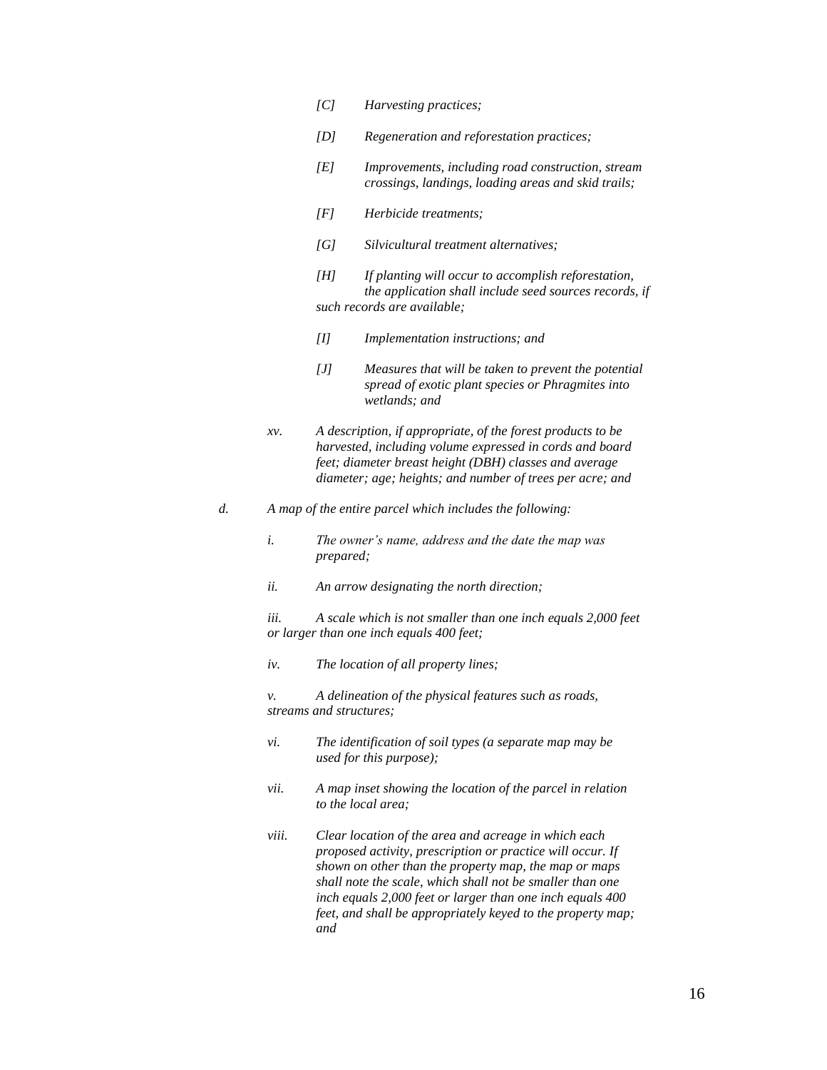- *[C] Harvesting practices;*
- *[D] Regeneration and reforestation practices;*
- *[E] Improvements, including road construction, stream crossings, landings, loading areas and skid trails;*
- *[F] Herbicide treatments;*
- *[G] Silvicultural treatment alternatives;*
- *[H] If planting will occur to accomplish reforestation, the application shall include seed sources records, if such records are available;*
- *[I] Implementation instructions; and*
- *[J] Measures that will be taken to prevent the potential spread of exotic plant species or Phragmites into wetlands; and*
- *xv. A description, if appropriate, of the forest products to be harvested, including volume expressed in cords and board feet; diameter breast height (DBH) classes and average diameter; age; heights; and number of trees per acre; and*
- *d. A map of the entire parcel which includes the following:*
	- *i. The owner's name, address and the date the map was prepared;*
	- *ii. An arrow designating the north direction;*

*iii. A scale which is not smaller than one inch equals 2,000 feet or larger than one inch equals 400 feet;*

*iv. The location of all property lines;*

*v. A delineation of the physical features such as roads, streams and structures;*

- *vi. The identification of soil types (a separate map may be used for this purpose);*
- *vii. A map inset showing the location of the parcel in relation to the local area;*
- *viii. Clear location of the area and acreage in which each proposed activity, prescription or practice will occur. If shown on other than the property map, the map or maps shall note the scale, which shall not be smaller than one inch equals 2,000 feet or larger than one inch equals 400 feet, and shall be appropriately keyed to the property map; and*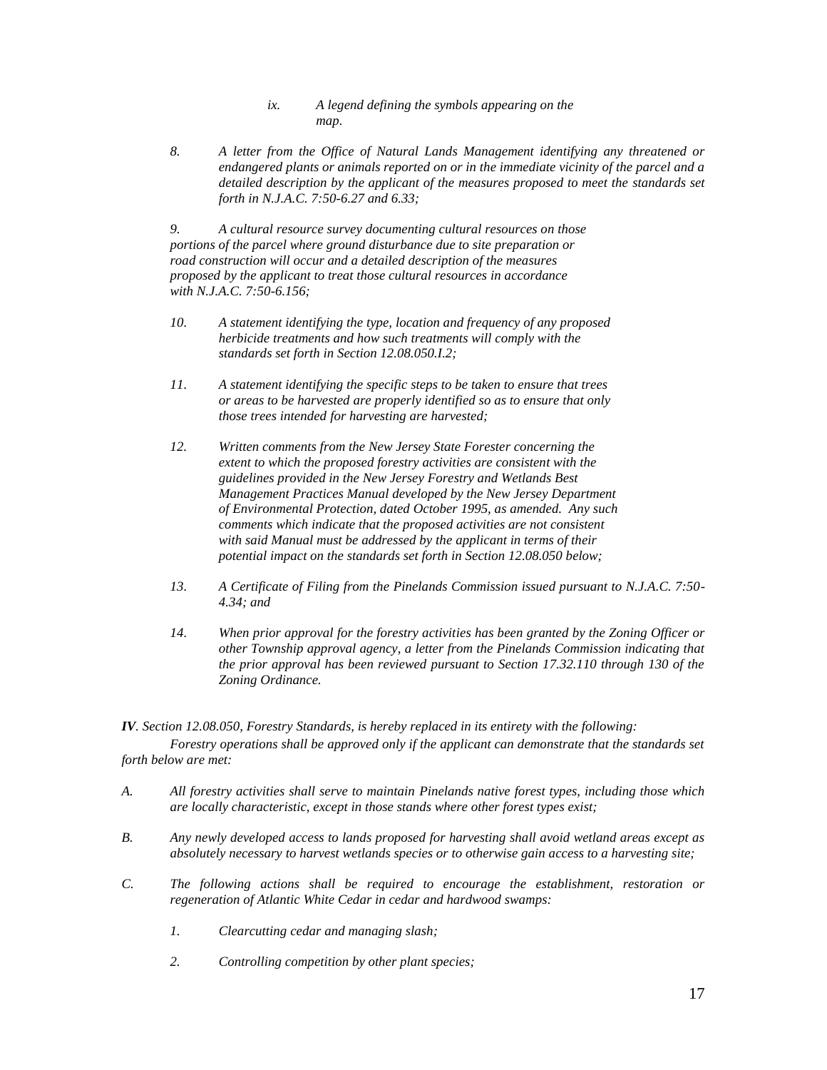- *ix. A legend defining the symbols appearing on the map.*
- *8. A letter from the Office of Natural Lands Management identifying any threatened or endangered plants or animals reported on or in the immediate vicinity of the parcel and a detailed description by the applicant of the measures proposed to meet the standards set forth in N.J.A.C. 7:50-6.27 and 6.33;*

*9. A cultural resource survey documenting cultural resources on those portions of the parcel where ground disturbance due to site preparation or road construction will occur and a detailed description of the measures proposed by the applicant to treat those cultural resources in accordance with N.J.A.C. 7:50-6.156;*

- *10. A statement identifying the type, location and frequency of any proposed herbicide treatments and how such treatments will comply with the standards set forth in Section 12.08.050.I.2;*
- *11. A statement identifying the specific steps to be taken to ensure that trees or areas to be harvested are properly identified so as to ensure that only those trees intended for harvesting are harvested;*
- *12. Written comments from the New Jersey State Forester concerning the extent to which the proposed forestry activities are consistent with the guidelines provided in the New Jersey Forestry and Wetlands Best Management Practices Manual developed by the New Jersey Department of Environmental Protection, dated October 1995, as amended. Any such comments which indicate that the proposed activities are not consistent with said Manual must be addressed by the applicant in terms of their potential impact on the standards set forth in Section 12.08.050 below;*
- *13. A Certificate of Filing from the Pinelands Commission issued pursuant to N.J.A.C. 7:50- 4.34; and*
- *14. When prior approval for the forestry activities has been granted by the Zoning Officer or other Township approval agency, a letter from the Pinelands Commission indicating that the prior approval has been reviewed pursuant to Section 17.32.110 through 130 of the Zoning Ordinance.*

*IV. Section 12.08.050, Forestry Standards, is hereby replaced in its entirety with the following:*

*Forestry operations shall be approved only if the applicant can demonstrate that the standards set forth below are met:* 

- *A. All forestry activities shall serve to maintain Pinelands native forest types, including those which are locally characteristic, except in those stands where other forest types exist;*
- *B. Any newly developed access to lands proposed for harvesting shall avoid wetland areas except as absolutely necessary to harvest wetlands species or to otherwise gain access to a harvesting site;*
- *C. The following actions shall be required to encourage the establishment, restoration or regeneration of Atlantic White Cedar in cedar and hardwood swamps:*
	- *1. Clearcutting cedar and managing slash;*
	- *2. Controlling competition by other plant species;*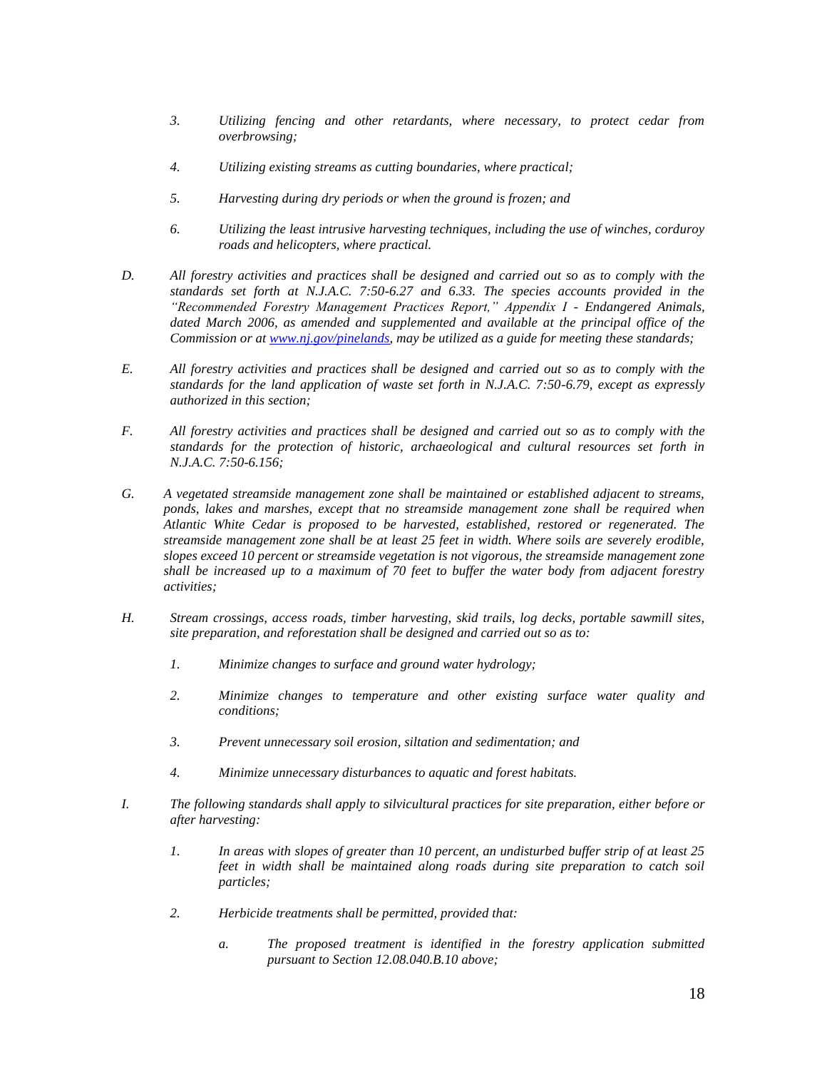- *3. Utilizing fencing and other retardants, where necessary, to protect cedar from overbrowsing;*
- *4. Utilizing existing streams as cutting boundaries, where practical;*
- *5. Harvesting during dry periods or when the ground is frozen; and*
- *6. Utilizing the least intrusive harvesting techniques, including the use of winches, corduroy roads and helicopters, where practical.*
- *D. All forestry activities and practices shall be designed and carried out so as to comply with the standards set forth at N.J.A.C. 7:50-6.27 and 6.33. The species accounts provided in the "Recommended Forestry Management Practices Report," Appendix I - Endangered Animals,*  dated March 2006, as amended and supplemented and available at the principal office of the *Commission or a[t www.nj.gov/pinelands,](http://www.nj.gov/pinelands) may be utilized as a guide for meeting these standards;*
- *E. All forestry activities and practices shall be designed and carried out so as to comply with the standards for the land application of waste set forth in N.J.A.C. 7:50-6.79, except as expressly authorized in this section;*
- *F. All forestry activities and practices shall be designed and carried out so as to comply with the standards for the protection of historic, archaeological and cultural resources set forth in N.J.A.C. 7:50-6.156;*
- *G. A vegetated streamside management zone shall be maintained or established adjacent to streams, ponds, lakes and marshes, except that no streamside management zone shall be required when Atlantic White Cedar is proposed to be harvested, established, restored or regenerated. The streamside management zone shall be at least 25 feet in width. Where soils are severely erodible, slopes exceed 10 percent or streamside vegetation is not vigorous, the streamside management zone shall be increased up to a maximum of 70 feet to buffer the water body from adjacent forestry activities;*
- *H. Stream crossings, access roads, timber harvesting, skid trails, log decks, portable sawmill sites, site preparation, and reforestation shall be designed and carried out so as to:*
	- *1. Minimize changes to surface and ground water hydrology;*
	- *2. Minimize changes to temperature and other existing surface water quality and conditions;*
	- *3. Prevent unnecessary soil erosion, siltation and sedimentation; and*
	- *4. Minimize unnecessary disturbances to aquatic and forest habitats.*
- *I. The following standards shall apply to silvicultural practices for site preparation, either before or after harvesting:* 
	- *1. In areas with slopes of greater than 10 percent, an undisturbed buffer strip of at least 25 feet in width shall be maintained along roads during site preparation to catch soil particles;*
	- *2. Herbicide treatments shall be permitted, provided that:*
		- *a. The proposed treatment is identified in the forestry application submitted pursuant to Section 12.08.040.B.10 above;*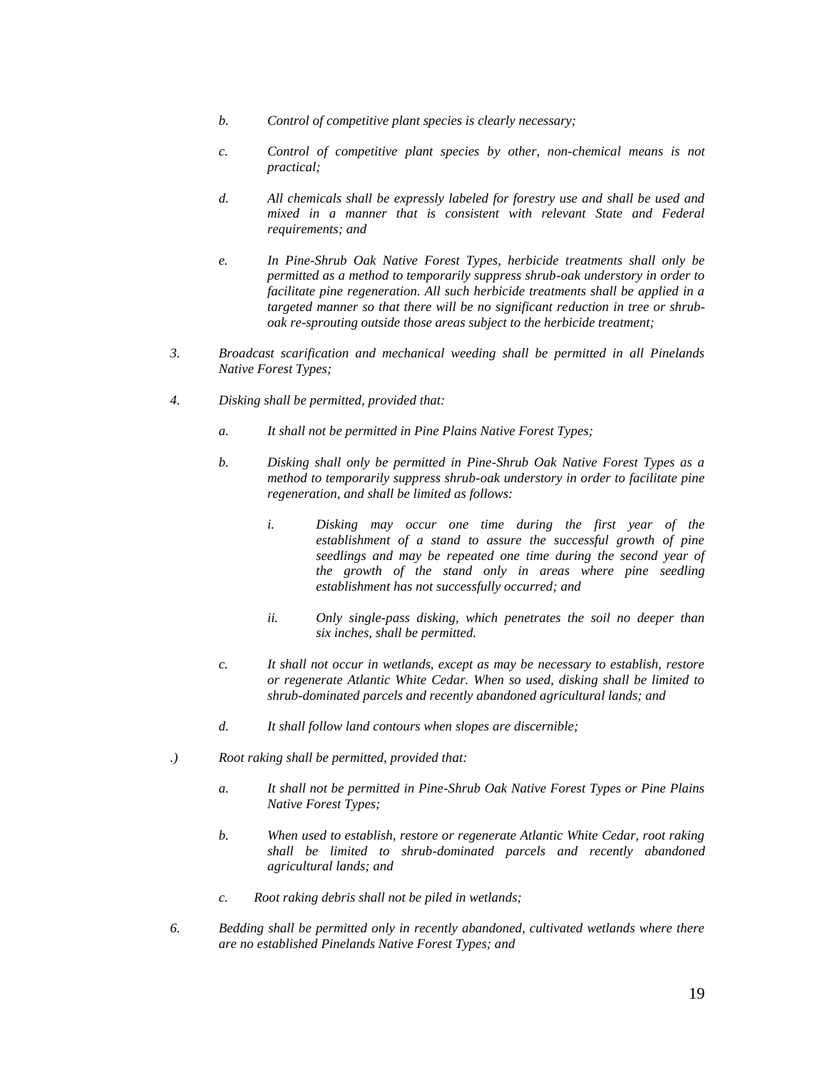- *b. Control of competitive plant species is clearly necessary;*
- *c. Control of competitive plant species by other, non-chemical means is not practical;*
- *d. All chemicals shall be expressly labeled for forestry use and shall be used and mixed in a manner that is consistent with relevant State and Federal requirements; and*
- *e. In Pine-Shrub Oak Native Forest Types, herbicide treatments shall only be permitted as a method to temporarily suppress shrub-oak understory in order to facilitate pine regeneration. All such herbicide treatments shall be applied in a targeted manner so that there will be no significant reduction in tree or shruboak re-sprouting outside those areas subject to the herbicide treatment;*
- *3. Broadcast scarification and mechanical weeding shall be permitted in all Pinelands Native Forest Types;*
- *4. Disking shall be permitted, provided that:*
	- *a. It shall not be permitted in Pine Plains Native Forest Types;*
	- *b. Disking shall only be permitted in Pine-Shrub Oak Native Forest Types as a method to temporarily suppress shrub-oak understory in order to facilitate pine regeneration, and shall be limited as follows:*
		- *i. Disking may occur one time during the first year of the establishment of a stand to assure the successful growth of pine seedlings and may be repeated one time during the second year of the growth of the stand only in areas where pine seedling establishment has not successfully occurred; and*
		- *ii. Only single-pass disking, which penetrates the soil no deeper than six inches, shall be permitted.*
	- *c. It shall not occur in wetlands, except as may be necessary to establish, restore or regenerate Atlantic White Cedar. When so used, disking shall be limited to shrub-dominated parcels and recently abandoned agricultural lands; and*
	- *d. It shall follow land contours when slopes are discernible;*
- *.) Root raking shall be permitted, provided that:*
	- *a. It shall not be permitted in Pine-Shrub Oak Native Forest Types or Pine Plains Native Forest Types;*
	- *b. When used to establish, restore or regenerate Atlantic White Cedar, root raking shall be limited to shrub-dominated parcels and recently abandoned agricultural lands; and*
	- *c. Root raking debris shall not be piled in wetlands;*
- *6. Bedding shall be permitted only in recently abandoned, cultivated wetlands where there are no established Pinelands Native Forest Types; and*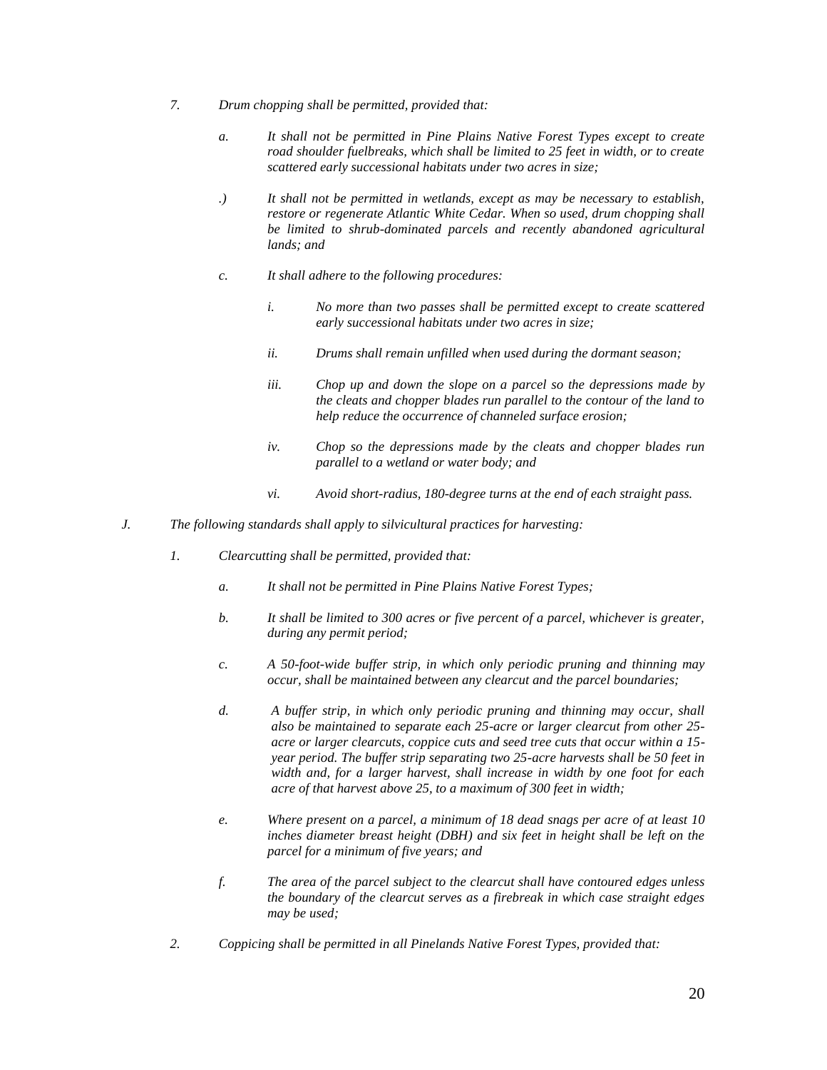- *7. Drum chopping shall be permitted, provided that:*
	- *a. It shall not be permitted in Pine Plains Native Forest Types except to create road shoulder fuelbreaks, which shall be limited to 25 feet in width, or to create scattered early successional habitats under two acres in size;*
	- *.) It shall not be permitted in wetlands, except as may be necessary to establish, restore or regenerate Atlantic White Cedar. When so used, drum chopping shall be limited to shrub-dominated parcels and recently abandoned agricultural lands; and*
	- *c. It shall adhere to the following procedures:*
		- *i. No more than two passes shall be permitted except to create scattered early successional habitats under two acres in size;*
		- *ii. Drums shall remain unfilled when used during the dormant season;*
		- *iii. Chop up and down the slope on a parcel so the depressions made by the cleats and chopper blades run parallel to the contour of the land to help reduce the occurrence of channeled surface erosion;*
		- *iv. Chop so the depressions made by the cleats and chopper blades run parallel to a wetland or water body; and*
		- *vi. Avoid short-radius, 180-degree turns at the end of each straight pass.*
- *J. The following standards shall apply to silvicultural practices for harvesting:*
	- *1. Clearcutting shall be permitted, provided that:*
		- *a. It shall not be permitted in Pine Plains Native Forest Types;*
		- *b. It shall be limited to 300 acres or five percent of a parcel, whichever is greater, during any permit period;*
		- *c. A 50-foot-wide buffer strip, in which only periodic pruning and thinning may occur, shall be maintained between any clearcut and the parcel boundaries;*
		- *d. A buffer strip, in which only periodic pruning and thinning may occur, shall also be maintained to separate each 25-acre or larger clearcut from other 25 acre or larger clearcuts, coppice cuts and seed tree cuts that occur within a 15 year period. The buffer strip separating two 25-acre harvests shall be 50 feet in width and, for a larger harvest, shall increase in width by one foot for each acre of that harvest above 25, to a maximum of 300 feet in width;*
		- *e. Where present on a parcel, a minimum of 18 dead snags per acre of at least 10 inches diameter breast height (DBH) and six feet in height shall be left on the parcel for a minimum of five years; and*
		- *f. The area of the parcel subject to the clearcut shall have contoured edges unless the boundary of the clearcut serves as a firebreak in which case straight edges may be used;*
	- *2. Coppicing shall be permitted in all Pinelands Native Forest Types, provided that:*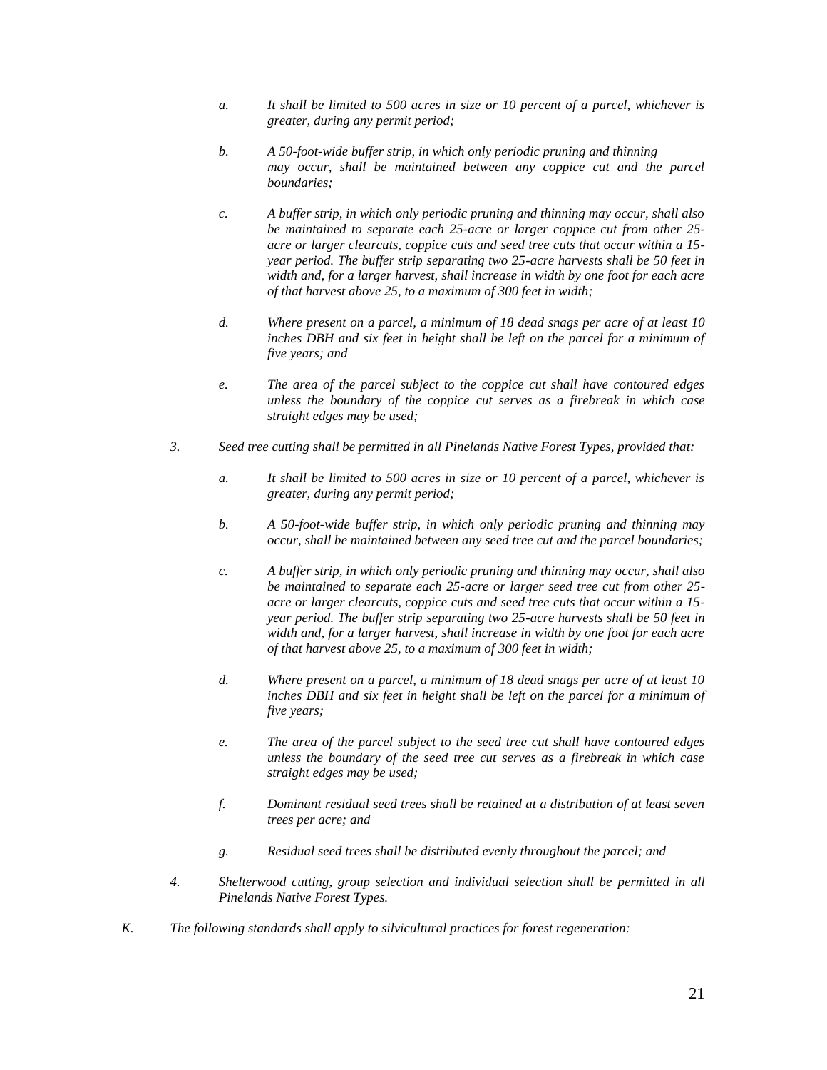- *a. It shall be limited to 500 acres in size or 10 percent of a parcel, whichever is greater, during any permit period;*
- *b. A 50-foot-wide buffer strip, in which only periodic pruning and thinning may occur, shall be maintained between any coppice cut and the parcel boundaries;*
- *c. A buffer strip, in which only periodic pruning and thinning may occur, shall also be maintained to separate each 25-acre or larger coppice cut from other 25 acre or larger clearcuts, coppice cuts and seed tree cuts that occur within a 15 year period. The buffer strip separating two 25-acre harvests shall be 50 feet in width and, for a larger harvest, shall increase in width by one foot for each acre of that harvest above 25, to a maximum of 300 feet in width;*
- *d. Where present on a parcel, a minimum of 18 dead snags per acre of at least 10 inches DBH and six feet in height shall be left on the parcel for a minimum of five years; and*
- *e. The area of the parcel subject to the coppice cut shall have contoured edges unless the boundary of the coppice cut serves as a firebreak in which case straight edges may be used;*
- *3. Seed tree cutting shall be permitted in all Pinelands Native Forest Types, provided that:*
	- *a. It shall be limited to 500 acres in size or 10 percent of a parcel, whichever is greater, during any permit period;*
	- *b. A 50-foot-wide buffer strip, in which only periodic pruning and thinning may occur, shall be maintained between any seed tree cut and the parcel boundaries;*
	- *c. A buffer strip, in which only periodic pruning and thinning may occur, shall also be maintained to separate each 25-acre or larger seed tree cut from other 25 acre or larger clearcuts, coppice cuts and seed tree cuts that occur within a 15 year period. The buffer strip separating two 25-acre harvests shall be 50 feet in width and, for a larger harvest, shall increase in width by one foot for each acre of that harvest above 25, to a maximum of 300 feet in width;*
	- *d. Where present on a parcel, a minimum of 18 dead snags per acre of at least 10*  inches DBH and six feet in height shall be left on the parcel for a minimum of *five years;*
	- *e. The area of the parcel subject to the seed tree cut shall have contoured edges unless the boundary of the seed tree cut serves as a firebreak in which case straight edges may be used;*
	- *f. Dominant residual seed trees shall be retained at a distribution of at least seven trees per acre; and*
	- *g. Residual seed trees shall be distributed evenly throughout the parcel; and*
- *4. Shelterwood cutting, group selection and individual selection shall be permitted in all Pinelands Native Forest Types.*
- *K. The following standards shall apply to silvicultural practices for forest regeneration:*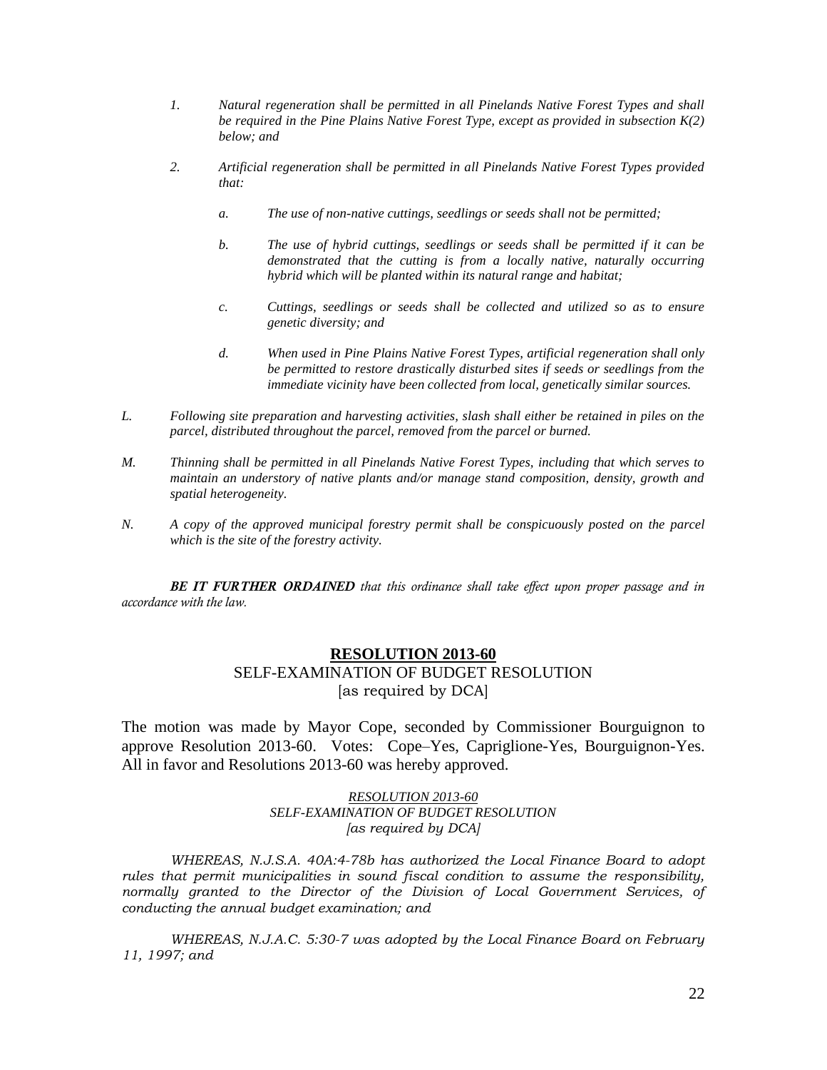- *1. Natural regeneration shall be permitted in all Pinelands Native Forest Types and shall be required in the Pine Plains Native Forest Type, except as provided in subsection K(2) below; and*
- *2. Artificial regeneration shall be permitted in all Pinelands Native Forest Types provided that:*
	- *a. The use of non-native cuttings, seedlings or seeds shall not be permitted;*
	- *b. The use of hybrid cuttings, seedlings or seeds shall be permitted if it can be demonstrated that the cutting is from a locally native, naturally occurring hybrid which will be planted within its natural range and habitat;*
	- *c. Cuttings, seedlings or seeds shall be collected and utilized so as to ensure genetic diversity; and*
	- *d. When used in Pine Plains Native Forest Types, artificial regeneration shall only be permitted to restore drastically disturbed sites if seeds or seedlings from the immediate vicinity have been collected from local, genetically similar sources.*
- *L. Following site preparation and harvesting activities, slash shall either be retained in piles on the parcel, distributed throughout the parcel, removed from the parcel or burned.*
- *M. Thinning shall be permitted in all Pinelands Native Forest Types, including that which serves to maintain an understory of native plants and/or manage stand composition, density, growth and spatial heterogeneity.*
- *N. A copy of the approved municipal forestry permit shall be conspicuously posted on the parcel which is the site of the forestry activity.*

*BE IT FURTHER ORDAINED that this ordinance shall take effect upon proper passage and in accordance with the law.*

# **RESOLUTION 2013-60** SELF-EXAMINATION OF BUDGET RESOLUTION [as required by DCA]

The motion was made by Mayor Cope, seconded by Commissioner Bourguignon to approve Resolution 2013-60. Votes: Cope–Yes, Capriglione-Yes, Bourguignon-Yes. All in favor and Resolutions 2013-60 was hereby approved.

> *RESOLUTION 2013-60 SELF-EXAMINATION OF BUDGET RESOLUTION [as required by DCA]*

*WHEREAS, N.J.S.A. 40A:4-78b has authorized the Local Finance Board to adopt rules that permit municipalities in sound fiscal condition to assume the responsibility, normally granted to the Director of the Division of Local Government Services, of conducting the annual budget examination; and*

*WHEREAS, N.J.A.C. 5:30-7 was adopted by the Local Finance Board on February 11, 1997; and*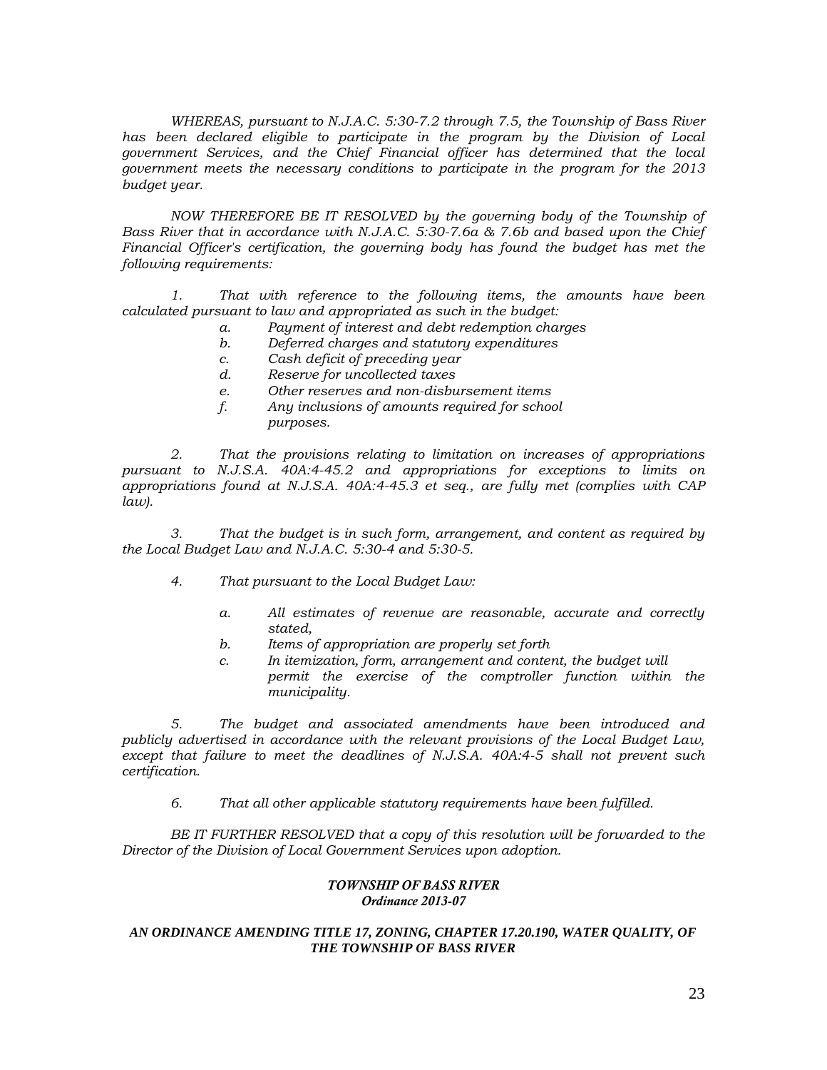*WHEREAS, pursuant to N.J.A.C. 5:30-7.2 through 7.5, the Township of Bass River has been declared eligible to participate in the program by the Division of Local government Services, and the Chief Financial officer has determined that the local government meets the necessary conditions to participate in the program for the 2013 budget year.*

*NOW THEREFORE BE IT RESOLVED by the governing body of the Township of Bass River that in accordance with N.J.A.C. 5:30-7.6a & 7.6b and based upon the Chief Financial Officer's certification, the governing body has found the budget has met the following requirements:*

*1. That with reference to the following items, the amounts have been calculated pursuant to law and appropriated as such in the budget:*

- *a. Payment of interest and debt redemption charges*
- *b. Deferred charges and statutory expenditures*
- *c. Cash deficit of preceding year*
- *d. Reserve for uncollected taxes*
- *e. Other reserves and non-disbursement items*
- *f. Any inclusions of amounts required for school purposes.*

*2. That the provisions relating to limitation on increases of appropriations pursuant to N.J.S.A. 40A:4-45.2 and appropriations for exceptions to limits on appropriations found at N.J.S.A. 40A:4-45.3 et seq., are fully met (complies with CAP law).*

*3. That the budget is in such form, arrangement, and content as required by the Local Budget Law and N.J.A.C. 5:30-4 and 5:30-5.*

- *4. That pursuant to the Local Budget Law:*
	- *a. All estimates of revenue are reasonable, accurate and correctly stated,*
	- *b. Items of appropriation are properly set forth*
	- *c. In itemization, form, arrangement and content, the budget will permit the exercise of the comptroller function within the municipality.*

*5. The budget and associated amendments have been introduced and publicly advertised in accordance with the relevant provisions of the Local Budget Law, except that failure to meet the deadlines of N.J.S.A. 40A:4-5 shall not prevent such certification.*

*6. That all other applicable statutory requirements have been fulfilled.*

*BE IT FURTHER RESOLVED that a copy of this resolution will be forwarded to the Director of the Division of Local Government Services upon adoption.*

#### *TOWNSHIP OF BASS RIVER Ordinance 2013-07*

### *AN ORDINANCE AMENDING TITLE 17, ZONING, CHAPTER 17.20.190, WATER QUALITY, OF THE TOWNSHIP OF BASS RIVER*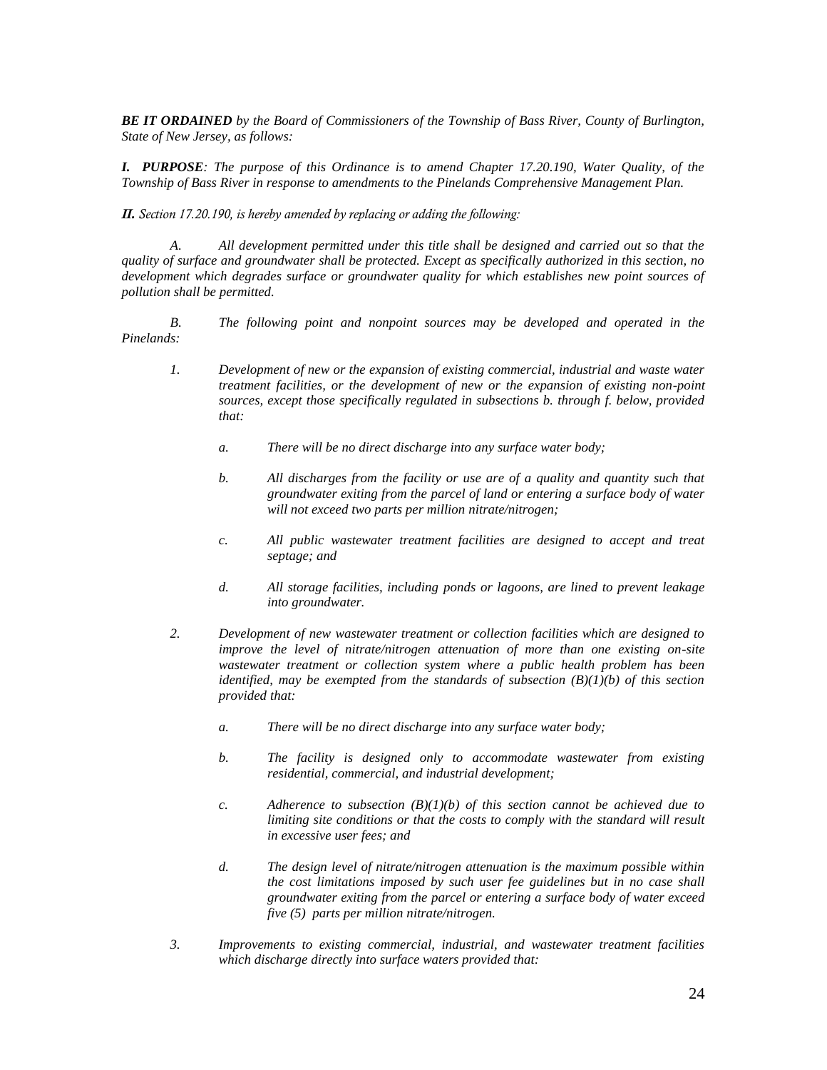*BE IT ORDAINED by the Board of Commissioners of the Township of Bass River, County of Burlington, State of New Jersey, as follows:*

*I. PURPOSE: The purpose of this Ordinance is to amend Chapter 17.20.190, Water Quality, of the Township of Bass River in response to amendments to the Pinelands Comprehensive Management Plan.*

*II. Section 17.20.190, is hereby amended by replacing or adding the following:*

*A. All development permitted under this title shall be designed and carried out so that the quality of surface and groundwater shall be protected. Except as specifically authorized in this section, no development which degrades surface or groundwater quality for which establishes new point sources of pollution shall be permitted.*

*B. The following point and nonpoint sources may be developed and operated in the Pinelands:*

- *1. Development of new or the expansion of existing commercial, industrial and waste water treatment facilities, or the development of new or the expansion of existing non-point sources, except those specifically regulated in subsections b. through f. below, provided that:*
	- *a. There will be no direct discharge into any surface water body;*
	- *b. All discharges from the facility or use are of a quality and quantity such that groundwater exiting from the parcel of land or entering a surface body of water will not exceed two parts per million nitrate/nitrogen;*
	- *c. All public wastewater treatment facilities are designed to accept and treat septage; and*
	- *d. All storage facilities, including ponds or lagoons, are lined to prevent leakage into groundwater.*
- *2. Development of new wastewater treatment or collection facilities which are designed to improve the level of nitrate/nitrogen attenuation of more than one existing on-site wastewater treatment or collection system where a public health problem has been identified, may be exempted from the standards of subsection (B)(1)(b) of this section provided that:*
	- *a. There will be no direct discharge into any surface water body;*
	- *b. The facility is designed only to accommodate wastewater from existing residential, commercial, and industrial development;*
	- *c.* Adherence to subsection  $(B)(1)(b)$  of this section cannot be achieved due to *limiting site conditions or that the costs to comply with the standard will result in excessive user fees; and*
	- *d. The design level of nitrate/nitrogen attenuation is the maximum possible within the cost limitations imposed by such user fee guidelines but in no case shall groundwater exiting from the parcel or entering a surface body of water exceed five (5) parts per million nitrate/nitrogen.*
- *3. Improvements to existing commercial, industrial, and wastewater treatment facilities which discharge directly into surface waters provided that:*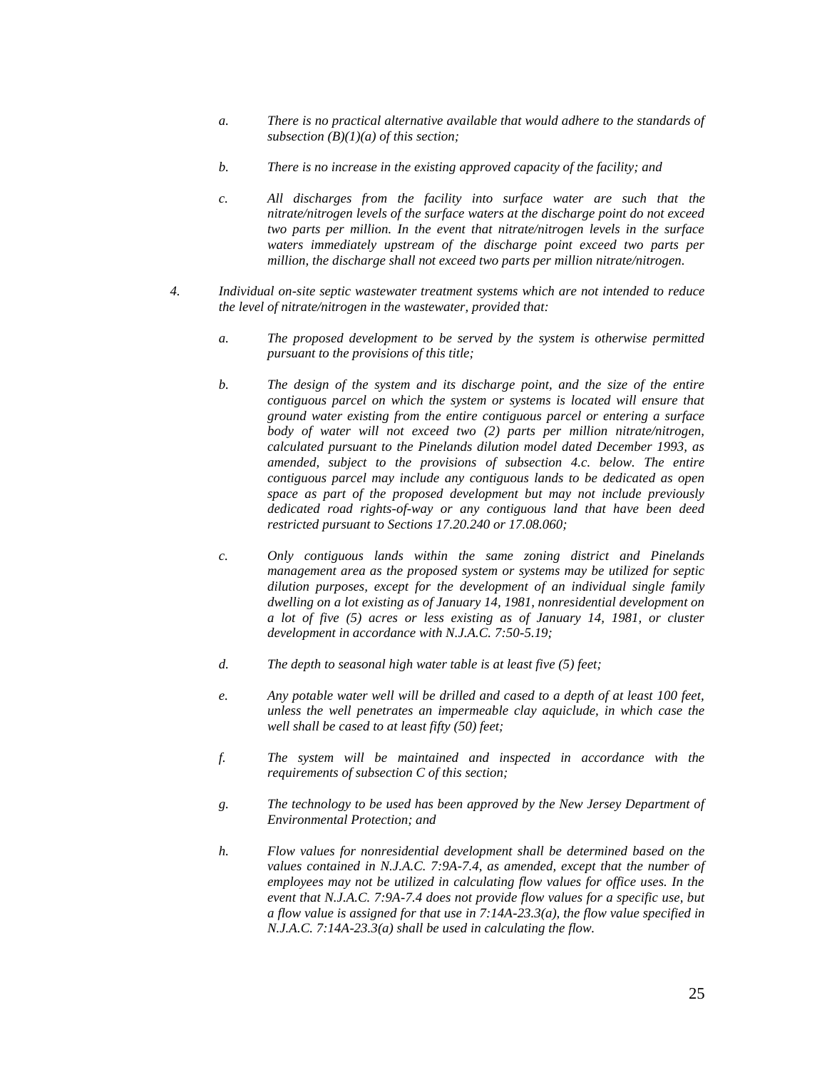- *a. There is no practical alternative available that would adhere to the standards of subsection (B)(1)(a) of this section;*
- *b. There is no increase in the existing approved capacity of the facility; and*
- *c. All discharges from the facility into surface water are such that the nitrate/nitrogen levels of the surface waters at the discharge point do not exceed two parts per million. In the event that nitrate/nitrogen levels in the surface waters immediately upstream of the discharge point exceed two parts per million, the discharge shall not exceed two parts per million nitrate/nitrogen.*
- *4. Individual on-site septic wastewater treatment systems which are not intended to reduce the level of nitrate/nitrogen in the wastewater, provided that:*
	- *a. The proposed development to be served by the system is otherwise permitted pursuant to the provisions of this title;*
	- *b. The design of the system and its discharge point, and the size of the entire contiguous parcel on which the system or systems is located will ensure that ground water existing from the entire contiguous parcel or entering a surface body of water will not exceed two (2) parts per million nitrate/nitrogen, calculated pursuant to the Pinelands dilution model dated December 1993, as amended, subject to the provisions of subsection 4.c. below. The entire contiguous parcel may include any contiguous lands to be dedicated as open space as part of the proposed development but may not include previously dedicated road rights-of-way or any contiguous land that have been deed restricted pursuant to Sections 17.20.240 or 17.08.060;*
	- *c. Only contiguous lands within the same zoning district and Pinelands management area as the proposed system or systems may be utilized for septic dilution purposes, except for the development of an individual single family dwelling on a lot existing as of January 14, 1981, nonresidential development on a lot of five (5) acres or less existing as of January 14, 1981, or cluster development in accordance with N.J.A.C. 7:50-5.19;*
	- *d. The depth to seasonal high water table is at least five (5) feet;*
	- *e. Any potable water well will be drilled and cased to a depth of at least 100 feet, unless the well penetrates an impermeable clay aquiclude, in which case the well shall be cased to at least fifty (50) feet;*
	- *f. The system will be maintained and inspected in accordance with the requirements of subsection C of this section;*
	- *g. The technology to be used has been approved by the New Jersey Department of Environmental Protection; and*
	- *h. Flow values for nonresidential development shall be determined based on the values contained in N.J.A.C. 7:9A-7.4, as amended, except that the number of employees may not be utilized in calculating flow values for office uses. In the event that N.J.A.C. 7:9A-7.4 does not provide flow values for a specific use, but a flow value is assigned for that use in 7:14A-23.3(a), the flow value specified in N.J.A.C. 7:14A-23.3(a) shall be used in calculating the flow.*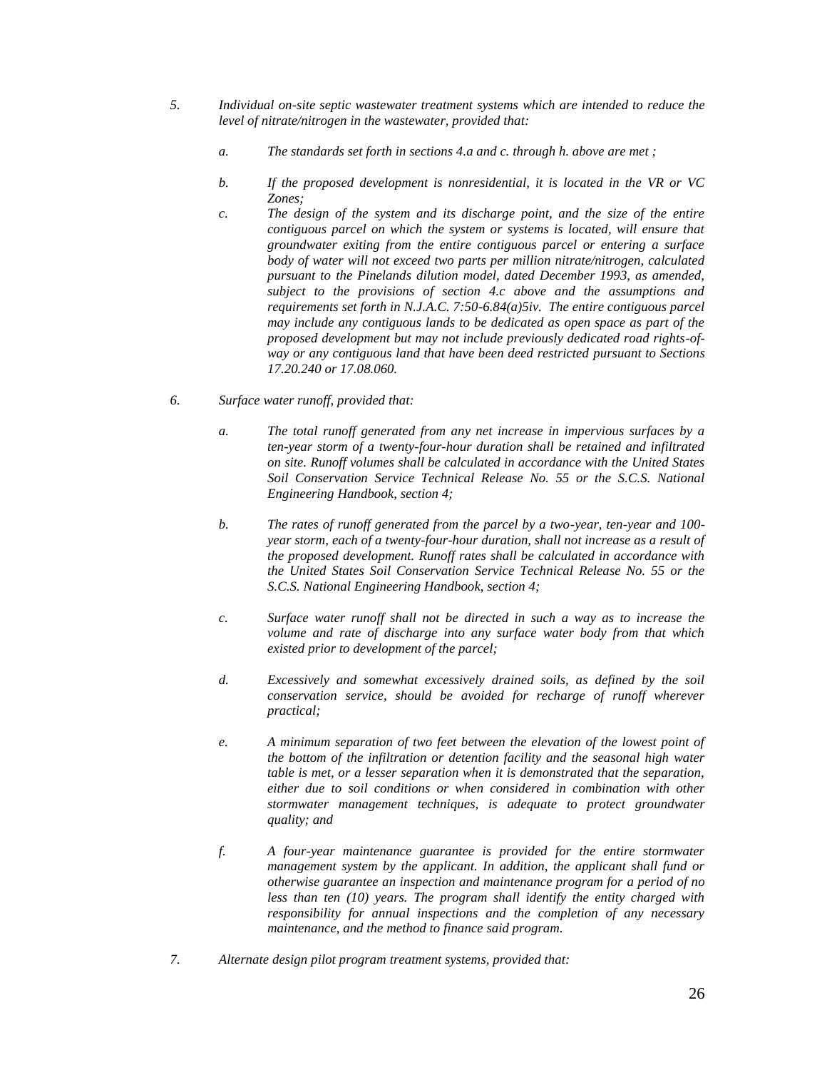- *5. Individual on-site septic wastewater treatment systems which are intended to reduce the level of nitrate/nitrogen in the wastewater, provided that:*
	- *a. The standards set forth in sections 4.a and c. through h. above are met ;*
	- *b. If the proposed development is nonresidential, it is located in the VR or VC Zones;*
	- *c. The design of the system and its discharge point, and the size of the entire contiguous parcel on which the system or systems is located, will ensure that groundwater exiting from the entire contiguous parcel or entering a surface body of water will not exceed two parts per million nitrate/nitrogen, calculated pursuant to the Pinelands dilution model, dated December 1993, as amended, subject to the provisions of section 4.c above and the assumptions and requirements set forth in N.J.A.C. 7:50-6.84(a)5iv. The entire contiguous parcel may include any contiguous lands to be dedicated as open space as part of the proposed development but may not include previously dedicated road rights-ofway or any contiguous land that have been deed restricted pursuant to Sections 17.20.240 or 17.08.060.*
- *6. Surface water runoff, provided that:*
	- *a. The total runoff generated from any net increase in impervious surfaces by a ten-year storm of a twenty-four-hour duration shall be retained and infiltrated on site. Runoff volumes shall be calculated in accordance with the United States Soil Conservation Service Technical Release No. 55 or the S.C.S. National Engineering Handbook, section 4;*
	- *b. The rates of runoff generated from the parcel by a two-year, ten-year and 100 year storm, each of a twenty-four-hour duration, shall not increase as a result of the proposed development. Runoff rates shall be calculated in accordance with the United States Soil Conservation Service Technical Release No. 55 or the S.C.S. National Engineering Handbook, section 4;*
	- *c. Surface water runoff shall not be directed in such a way as to increase the volume and rate of discharge into any surface water body from that which existed prior to development of the parcel;*
	- *d. Excessively and somewhat excessively drained soils, as defined by the soil conservation service, should be avoided for recharge of runoff wherever practical;*
	- *e. A minimum separation of two feet between the elevation of the lowest point of the bottom of the infiltration or detention facility and the seasonal high water table is met, or a lesser separation when it is demonstrated that the separation, either due to soil conditions or when considered in combination with other stormwater management techniques, is adequate to protect groundwater quality; and*
	- *f. A four-year maintenance guarantee is provided for the entire stormwater management system by the applicant. In addition, the applicant shall fund or otherwise guarantee an inspection and maintenance program for a period of no less than ten (10) years. The program shall identify the entity charged with responsibility for annual inspections and the completion of any necessary maintenance, and the method to finance said program.*
- *7. Alternate design pilot program treatment systems, provided that:*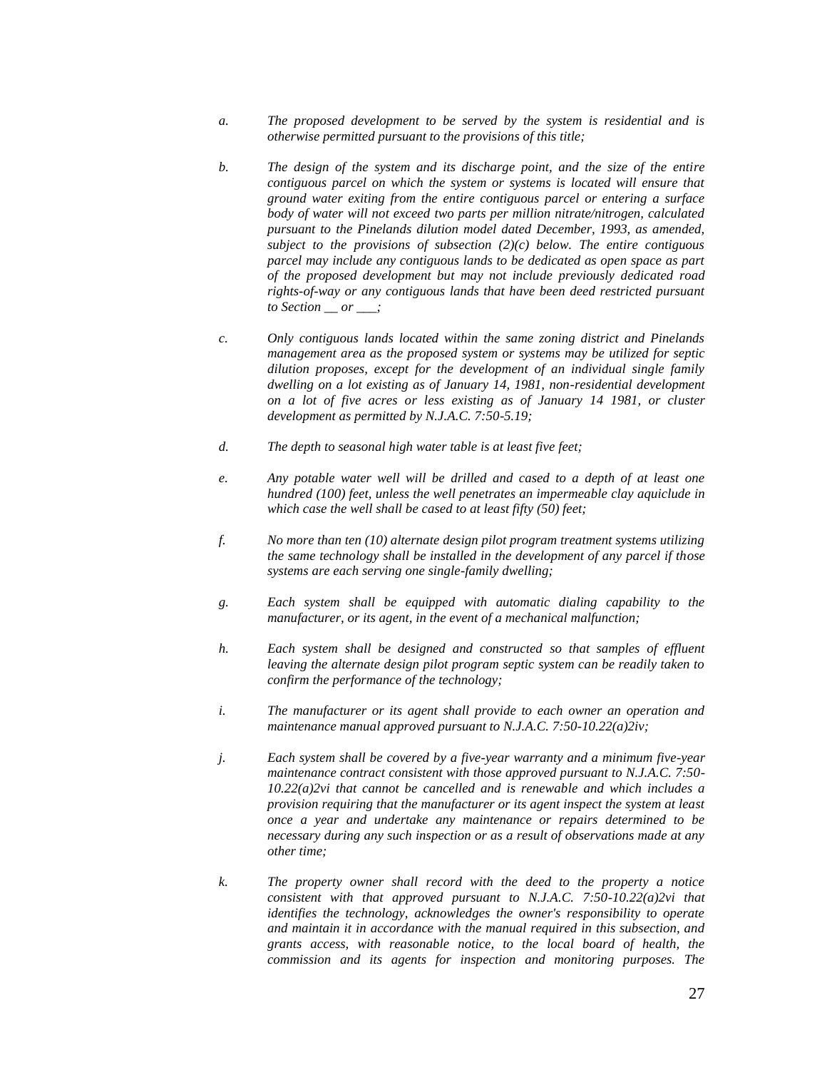- *a. The proposed development to be served by the system is residential and is otherwise permitted pursuant to the provisions of this title;*
- *b. The design of the system and its discharge point, and the size of the entire contiguous parcel on which the system or systems is located will ensure that ground water exiting from the entire contiguous parcel or entering a surface body of water will not exceed two parts per million nitrate/nitrogen, calculated pursuant to the Pinelands dilution model dated December, 1993, as amended, subject to the provisions of subsection (2)(c) below. The entire contiguous parcel may include any contiguous lands to be dedicated as open space as part of the proposed development but may not include previously dedicated road rights-of-way or any contiguous lands that have been deed restricted pursuant to Section \_\_ or \_\_\_;*
- *c. Only contiguous lands located within the same zoning district and Pinelands management area as the proposed system or systems may be utilized for septic dilution proposes, except for the development of an individual single family dwelling on a lot existing as of January 14, 1981, non-residential development on a lot of five acres or less existing as of January 14 1981, or cluster development as permitted by N.J.A.C. 7:50-5.19;*
- *d. The depth to seasonal high water table is at least five feet;*
- *e. Any potable water well will be drilled and cased to a depth of at least one hundred (100) feet, unless the well penetrates an impermeable clay aquiclude in which case the well shall be cased to at least fifty (50) feet;*
- *f. No more than ten (10) alternate design pilot program treatment systems utilizing the same technology shall be installed in the development of any parcel if those systems are each serving one single-family dwelling;*
- *g. Each system shall be equipped with automatic dialing capability to the manufacturer, or its agent, in the event of a mechanical malfunction;*
- *h. Each system shall be designed and constructed so that samples of effluent leaving the alternate design pilot program septic system can be readily taken to confirm the performance of the technology;*
- *i. The manufacturer or its agent shall provide to each owner an operation and maintenance manual approved pursuant to N.J.A.C. 7:50-10.22(a)2iv;*
- *j. Each system shall be covered by a five-year warranty and a minimum five-year maintenance contract consistent with those approved pursuant to N.J.A.C. 7:50- 10.22(a)2vi that cannot be cancelled and is renewable and which includes a provision requiring that the manufacturer or its agent inspect the system at least once a year and undertake any maintenance or repairs determined to be necessary during any such inspection or as a result of observations made at any other time;*
- *k. The property owner shall record with the deed to the property a notice consistent with that approved pursuant to N.J.A.C. 7:50-10.22(a)2vi that identifies the technology, acknowledges the owner's responsibility to operate and maintain it in accordance with the manual required in this subsection, and grants access, with reasonable notice, to the local board of health, the commission and its agents for inspection and monitoring purposes. The*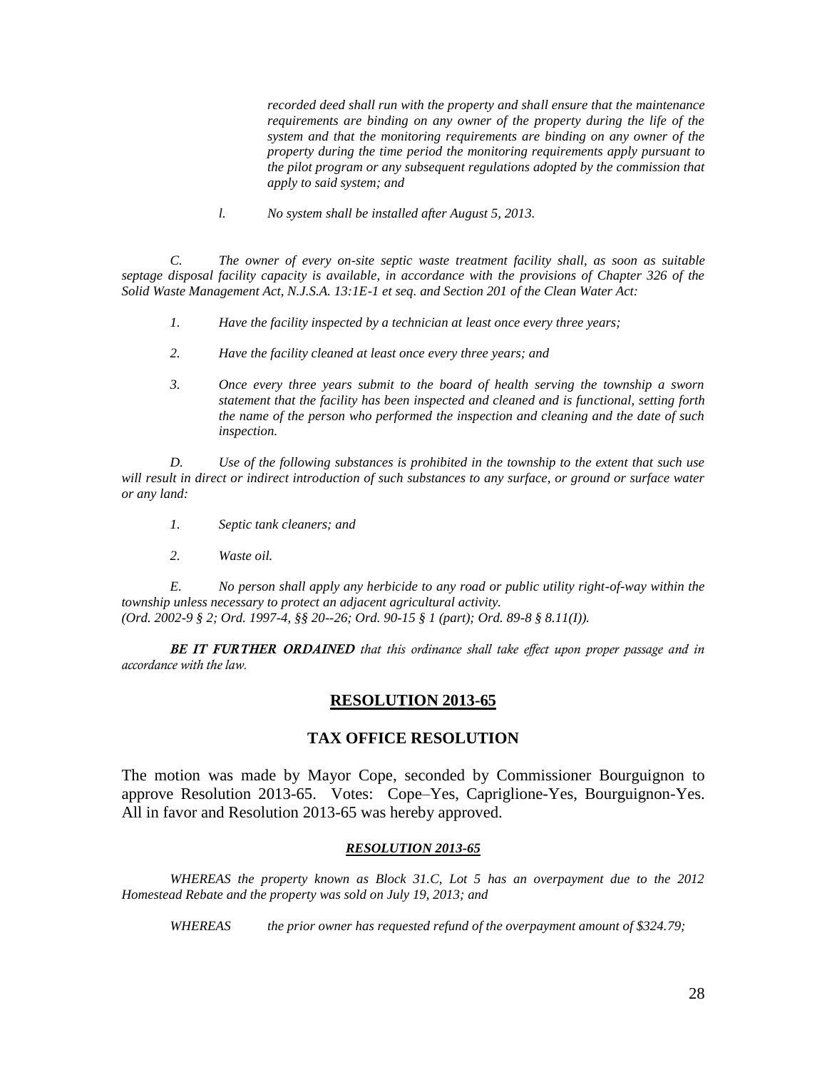*recorded deed shall run with the property and shall ensure that the maintenance requirements are binding on any owner of the property during the life of the system and that the monitoring requirements are binding on any owner of the property during the time period the monitoring requirements apply pursuant to the pilot program or any subsequent regulations adopted by the commission that apply to said system; and*

*l. No system shall be installed after August 5, 2013.*

*C. The owner of every on-site septic waste treatment facility shall, as soon as suitable septage disposal facility capacity is available, in accordance with the provisions of Chapter 326 of the Solid Waste Management Act, N.J.S.A. 13:1E-1 et seq. and Section 201 of the Clean Water Act:*

- *1. Have the facility inspected by a technician at least once every three years;*
- *2. Have the facility cleaned at least once every three years; and*
- *3. Once every three years submit to the board of health serving the township a sworn statement that the facility has been inspected and cleaned and is functional, setting forth the name of the person who performed the inspection and cleaning and the date of such inspection.*

*D. Use of the following substances is prohibited in the township to the extent that such use will result in direct or indirect introduction of such substances to any surface, or ground or surface water or any land:*

- *1. Septic tank cleaners; and*
- *2. Waste oil.*

*E. No person shall apply any herbicide to any road or public utility right-of-way within the township unless necessary to protect an adjacent agricultural activity. (Ord. 2002-9 § 2; Ord. 1997-4, §§ 20--26; Ord. 90-15 § 1 (part); Ord. 89-8 § 8.11(I)).*

*BE IT FURTHER ORDAINED that this ordinance shall take effect upon proper passage and in accordance with the law.*

### **RESOLUTION 2013-65**

### **TAX OFFICE RESOLUTION**

The motion was made by Mayor Cope, seconded by Commissioner Bourguignon to approve Resolution 2013-65. Votes: Cope–Yes, Capriglione-Yes, Bourguignon-Yes. All in favor and Resolution 2013-65 was hereby approved.

#### *RESOLUTION 2013-65*

*WHEREAS the property known as Block 31.C, Lot 5 has an overpayment due to the 2012 Homestead Rebate and the property was sold on July 19, 2013; and*

*WHEREAS the prior owner has requested refund of the overpayment amount of \$324.79;*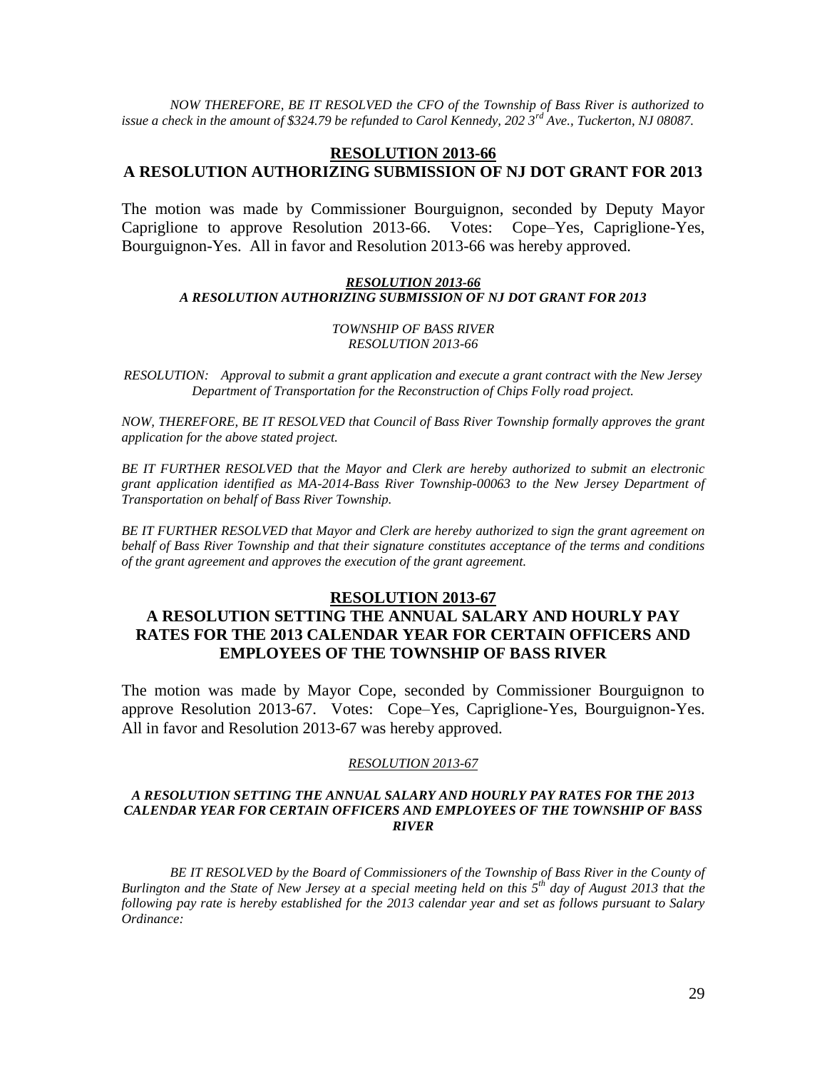*NOW THEREFORE, BE IT RESOLVED the CFO of the Township of Bass River is authorized to issue a check in the amount of \$324.79 be refunded to Carol Kennedy, 202 3rd Ave., Tuckerton, NJ 08087.*

### **RESOLUTION 2013-66 A RESOLUTION AUTHORIZING SUBMISSION OF NJ DOT GRANT FOR 2013**

The motion was made by Commissioner Bourguignon, seconded by Deputy Mayor Capriglione to approve Resolution 2013-66. Votes: Cope–Yes, Capriglione-Yes, Bourguignon-Yes. All in favor and Resolution 2013-66 was hereby approved.

### *RESOLUTION 2013-66 A RESOLUTION AUTHORIZING SUBMISSION OF NJ DOT GRANT FOR 2013*

#### *TOWNSHIP OF BASS RIVER RESOLUTION 2013-66*

*RESOLUTION: Approval to submit a grant application and execute a grant contract with the New Jersey Department of Transportation for the Reconstruction of Chips Folly road project.*

*NOW, THEREFORE, BE IT RESOLVED that Council of Bass River Township formally approves the grant application for the above stated project.*

*BE IT FURTHER RESOLVED that the Mayor and Clerk are hereby authorized to submit an electronic grant application identified as MA-2014-Bass River Township-00063 to the New Jersey Department of Transportation on behalf of Bass River Township.* 

*BE IT FURTHER RESOLVED that Mayor and Clerk are hereby authorized to sign the grant agreement on behalf of Bass River Township and that their signature constitutes acceptance of the terms and conditions of the grant agreement and approves the execution of the grant agreement.*

### **RESOLUTION 2013-67**

# **A RESOLUTION SETTING THE ANNUAL SALARY AND HOURLY PAY RATES FOR THE 2013 CALENDAR YEAR FOR CERTAIN OFFICERS AND EMPLOYEES OF THE TOWNSHIP OF BASS RIVER**

The motion was made by Mayor Cope, seconded by Commissioner Bourguignon to approve Resolution 2013-67. Votes: Cope–Yes, Capriglione-Yes, Bourguignon-Yes. All in favor and Resolution 2013-67 was hereby approved.

### *RESOLUTION 2013-67*

### *A RESOLUTION SETTING THE ANNUAL SALARY AND HOURLY PAY RATES FOR THE 2013 CALENDAR YEAR FOR CERTAIN OFFICERS AND EMPLOYEES OF THE TOWNSHIP OF BASS RIVER*

*BE IT RESOLVED by the Board of Commissioners of the Township of Bass River in the County of Burlington and the State of New Jersey at a special meeting held on this 5th day of August 2013 that the following pay rate is hereby established for the 2013 calendar year and set as follows pursuant to Salary Ordinance:*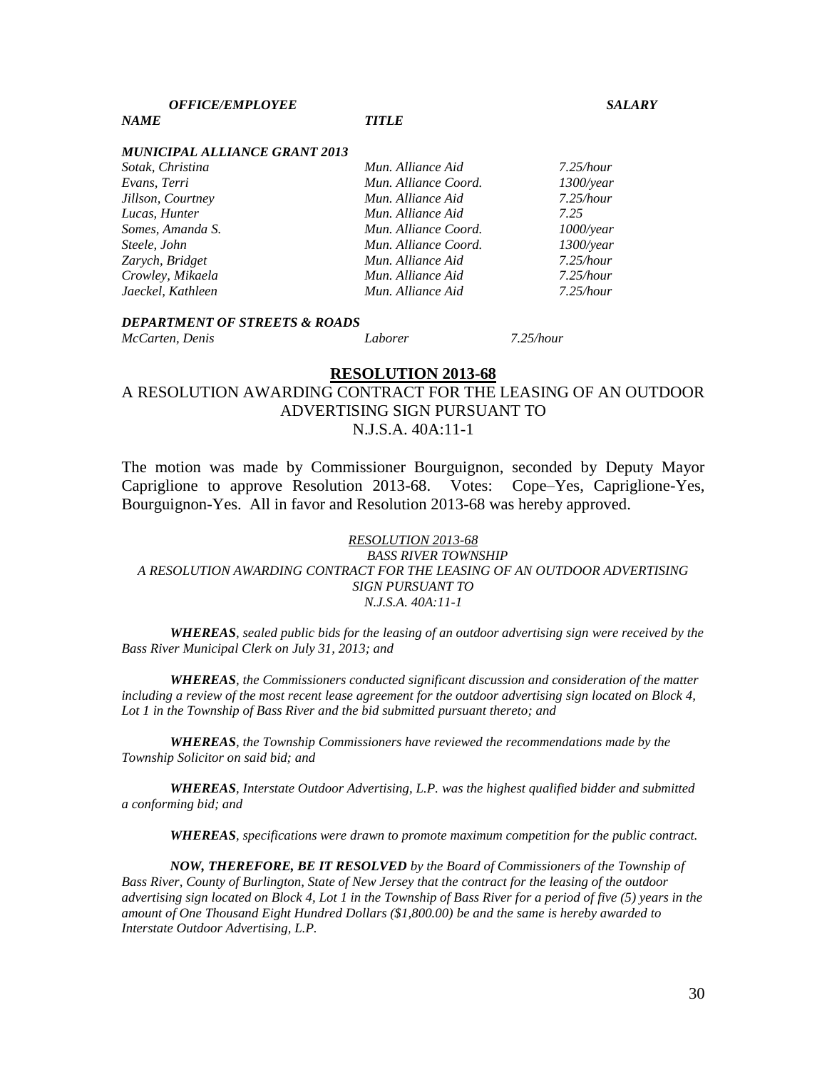*NAME TITLE*

#### *MUNICIPAL ALLIANCE GRANT 2013*

| Sotak, Christina  | Mun. Alliance Aid    | $7.25$ /hour |
|-------------------|----------------------|--------------|
| Evans, Terri      | Mun. Alliance Coord. | $1300$ /year |
| Jillson, Courtney | Mun. Alliance Aid    | $7.25$ /hour |
| Lucas, Hunter     | Mun. Alliance Aid    | 7.25         |
| Somes, Amanda S.  | Mun. Alliance Coord. | $1000$ /year |
| Steele, John      | Mun. Alliance Coord. | $1300$ /year |
| Zarych, Bridget   | Mun. Alliance Aid    | $7.25$ /hour |
| Crowley, Mikaela  | Mun. Alliance Aid    | $7.25$ /hour |
| Jaeckel, Kathleen | Mun. Alliance Aid    | $7.25$ /hour |
|                   |                      |              |

# *DEPARTMENT OF STREETS & ROADS*

*McCarten, Denis Laborer 7.25/hour*

### **RESOLUTION 2013-68**

# A RESOLUTION AWARDING CONTRACT FOR THE LEASING OF AN OUTDOOR ADVERTISING SIGN PURSUANT TO N.J.S.A. 40A:11-1

The motion was made by Commissioner Bourguignon, seconded by Deputy Mayor Capriglione to approve Resolution 2013-68. Votes: Cope–Yes, Capriglione-Yes, Bourguignon-Yes. All in favor and Resolution 2013-68 was hereby approved.

### *RESOLUTION 2013-68 BASS RIVER TOWNSHIP A RESOLUTION AWARDING CONTRACT FOR THE LEASING OF AN OUTDOOR ADVERTISING SIGN PURSUANT TO N.J.S.A. 40A:11-1*

*WHEREAS, sealed public bids for the leasing of an outdoor advertising sign were received by the Bass River Municipal Clerk on July 31, 2013; and*

*WHEREAS, the Commissioners conducted significant discussion and consideration of the matter including a review of the most recent lease agreement for the outdoor advertising sign located on Block 4, Lot 1 in the Township of Bass River and the bid submitted pursuant thereto; and*

*WHEREAS, the Township Commissioners have reviewed the recommendations made by the Township Solicitor on said bid; and*

*WHEREAS, Interstate Outdoor Advertising, L.P. was the highest qualified bidder and submitted a conforming bid; and*

*WHEREAS, specifications were drawn to promote maximum competition for the public contract.*

*NOW, THEREFORE, BE IT RESOLVED by the Board of Commissioners of the Township of Bass River, County of Burlington, State of New Jersey that the contract for the leasing of the outdoor advertising sign located on Block 4, Lot 1 in the Township of Bass River for a period of five (5) years in the amount of One Thousand Eight Hundred Dollars (\$1,800.00) be and the same is hereby awarded to Interstate Outdoor Advertising, L.P.*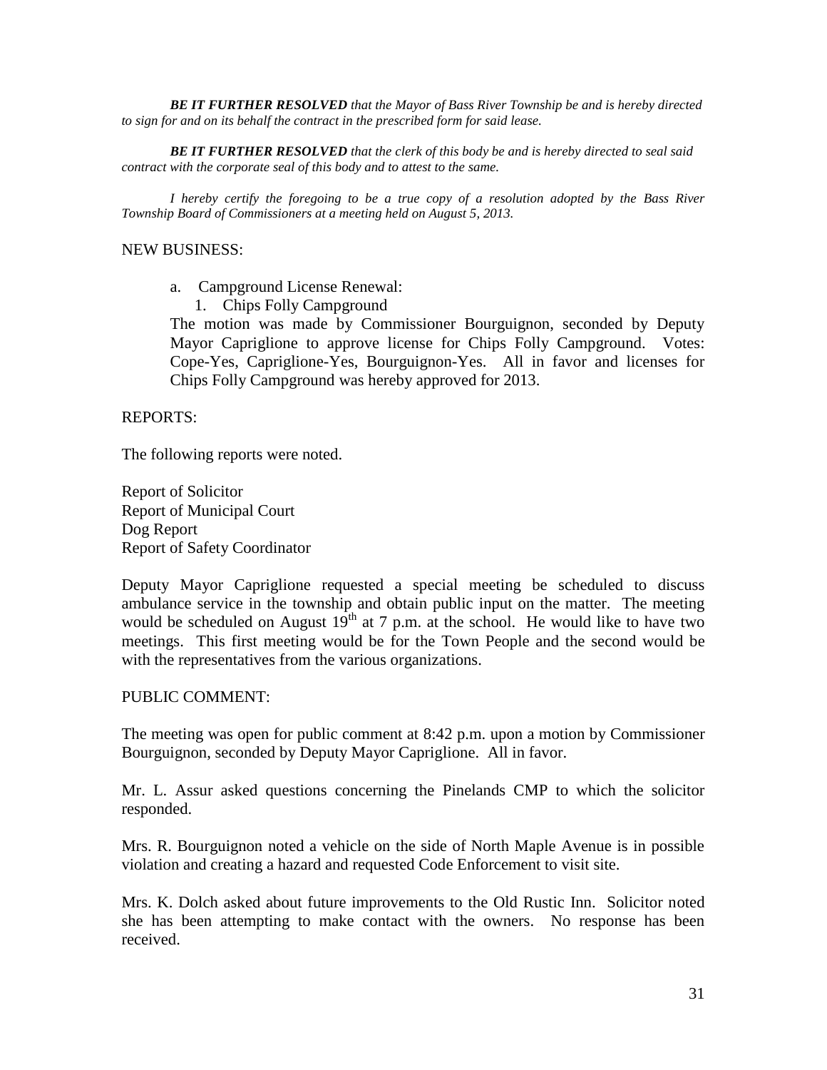*BE IT FURTHER RESOLVED that the Mayor of Bass River Township be and is hereby directed to sign for and on its behalf the contract in the prescribed form for said lease.*

*BE IT FURTHER RESOLVED that the clerk of this body be and is hereby directed to seal said contract with the corporate seal of this body and to attest to the same.*

*I hereby certify the foregoing to be a true copy of a resolution adopted by the Bass River Township Board of Commissioners at a meeting held on August 5, 2013.*

### NEW BUSINESS:

- a. Campground License Renewal:
	- 1. Chips Folly Campground

The motion was made by Commissioner Bourguignon, seconded by Deputy Mayor Capriglione to approve license for Chips Folly Campground. Votes: Cope-Yes, Capriglione-Yes, Bourguignon-Yes. All in favor and licenses for Chips Folly Campground was hereby approved for 2013.

REPORTS:

The following reports were noted.

Report of Solicitor Report of Municipal Court Dog Report Report of Safety Coordinator

Deputy Mayor Capriglione requested a special meeting be scheduled to discuss ambulance service in the township and obtain public input on the matter. The meeting would be scheduled on August  $19^{th}$  at 7 p.m. at the school. He would like to have two meetings. This first meeting would be for the Town People and the second would be with the representatives from the various organizations.

### PUBLIC COMMENT:

The meeting was open for public comment at 8:42 p.m. upon a motion by Commissioner Bourguignon, seconded by Deputy Mayor Capriglione. All in favor.

Mr. L. Assur asked questions concerning the Pinelands CMP to which the solicitor responded.

Mrs. R. Bourguignon noted a vehicle on the side of North Maple Avenue is in possible violation and creating a hazard and requested Code Enforcement to visit site.

Mrs. K. Dolch asked about future improvements to the Old Rustic Inn. Solicitor noted she has been attempting to make contact with the owners. No response has been received.